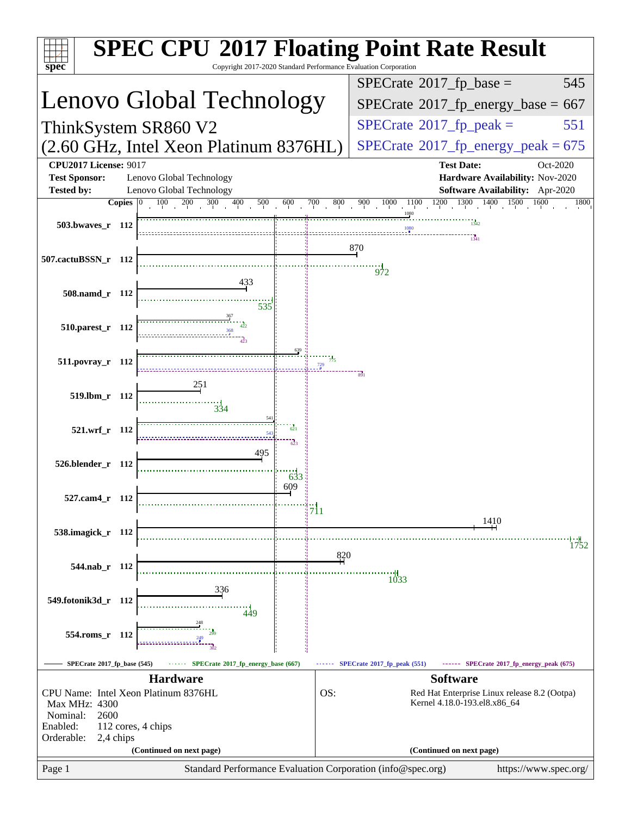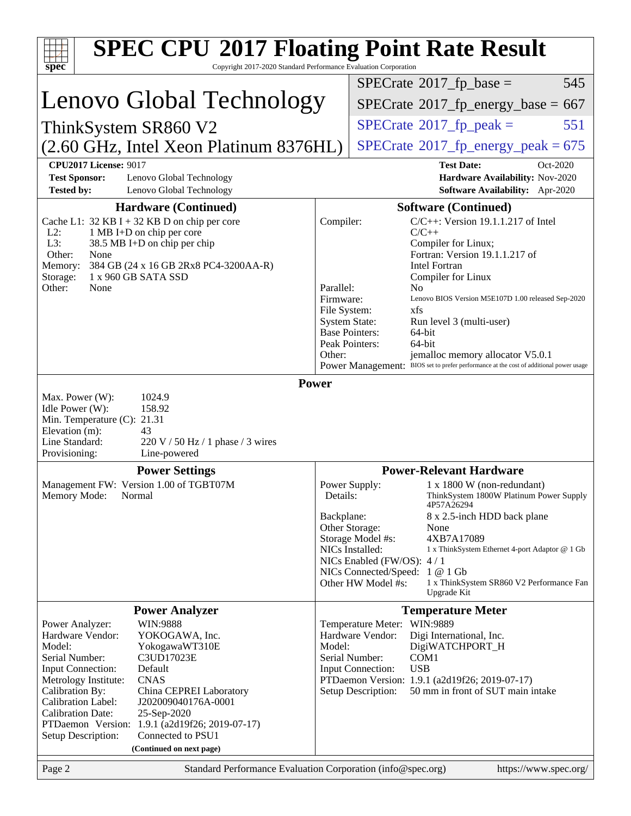| <b>SPEC CPU®2017 Floating Point Rate Result</b>                                                                                                                                                                                                                                                                                                                                                                                                                                            |                                                                |                                                                                                                                                                                                                                                                                                               |
|--------------------------------------------------------------------------------------------------------------------------------------------------------------------------------------------------------------------------------------------------------------------------------------------------------------------------------------------------------------------------------------------------------------------------------------------------------------------------------------------|----------------------------------------------------------------|---------------------------------------------------------------------------------------------------------------------------------------------------------------------------------------------------------------------------------------------------------------------------------------------------------------|
| Copyright 2017-2020 Standard Performance Evaluation Corporation<br>spec <sup>®</sup>                                                                                                                                                                                                                                                                                                                                                                                                       |                                                                | $SPECrate^{\circledast}2017$ _fp_base =<br>545                                                                                                                                                                                                                                                                |
| Lenovo Global Technology                                                                                                                                                                                                                                                                                                                                                                                                                                                                   |                                                                |                                                                                                                                                                                                                                                                                                               |
|                                                                                                                                                                                                                                                                                                                                                                                                                                                                                            |                                                                | $SPECTate^{\circ}2017$ _fp_energy_base = 667                                                                                                                                                                                                                                                                  |
| ThinkSystem SR860 V2                                                                                                                                                                                                                                                                                                                                                                                                                                                                       |                                                                | $SPECTate$ <sup>®</sup> 2017_fp_peak =<br>551                                                                                                                                                                                                                                                                 |
| (2.60 GHz, Intel Xeon Platinum 8376HL)                                                                                                                                                                                                                                                                                                                                                                                                                                                     |                                                                | $SPECTate$ <sup>®</sup> 2017_fp_energy_peak = 675                                                                                                                                                                                                                                                             |
| <b>CPU2017 License: 9017</b><br><b>Test Sponsor:</b><br>Lenovo Global Technology<br><b>Tested by:</b><br>Lenovo Global Technology                                                                                                                                                                                                                                                                                                                                                          |                                                                | <b>Test Date:</b><br>Oct-2020<br>Hardware Availability: Nov-2020<br>Software Availability: Apr-2020                                                                                                                                                                                                           |
| <b>Hardware (Continued)</b><br>Cache L1: $32$ KB I + 32 KB D on chip per core<br>$L2$ :<br>1 MB I+D on chip per core<br>L3:<br>38.5 MB I+D on chip per chip<br>Other:<br>None<br>384 GB (24 x 16 GB 2Rx8 PC4-3200AA-R)<br>Memory:                                                                                                                                                                                                                                                          | Compiler:                                                      | <b>Software (Continued)</b><br>$C/C++$ : Version 19.1.1.217 of Intel<br>$C/C++$<br>Compiler for Linux;<br>Fortran: Version 19.1.1.217 of<br><b>Intel Fortran</b>                                                                                                                                              |
| Storage:<br>1 x 960 GB SATA SSD<br>Other:<br>None                                                                                                                                                                                                                                                                                                                                                                                                                                          | Parallel:<br>Firmware:<br>File System:<br><b>System State:</b> | Compiler for Linux<br>N <sub>0</sub><br>Lenovo BIOS Version M5E107D 1.00 released Sep-2020<br>xfs<br>Run level 3 (multi-user)<br><b>Base Pointers:</b><br>64-bit<br>Peak Pointers:<br>64-bit                                                                                                                  |
|                                                                                                                                                                                                                                                                                                                                                                                                                                                                                            | Other:                                                         | jemalloc memory allocator V5.0.1<br>Power Management: BIOS set to prefer performance at the cost of additional power usage                                                                                                                                                                                    |
| Max. Power (W):<br>1024.9<br>158.92<br>Idle Power (W):<br>Min. Temperature (C): 21.31<br>Elevation (m):<br>43<br>Line Standard:<br>$220 \text{ V}$ / 50 Hz / 1 phase / 3 wires<br>Provisioning:<br>Line-powered                                                                                                                                                                                                                                                                            |                                                                |                                                                                                                                                                                                                                                                                                               |
| <b>Power Settings</b>                                                                                                                                                                                                                                                                                                                                                                                                                                                                      |                                                                | <b>Power-Relevant Hardware</b>                                                                                                                                                                                                                                                                                |
| Management FW: Version 1.00 of TGBT07M<br>Memory Mode: Normal                                                                                                                                                                                                                                                                                                                                                                                                                              | Details:                                                       | $1 \times 1800$ W (non-redundant)<br>Power Supply:<br>ThinkSystem 1800W Platinum Power Supply<br>4P57A26294                                                                                                                                                                                                   |
|                                                                                                                                                                                                                                                                                                                                                                                                                                                                                            | Backplane:                                                     | 8 x 2.5-inch HDD back plane<br>Other Storage:<br>None<br>4XB7A17089<br>Storage Model #s:<br>NICs Installed:<br>1 x ThinkSystem Ethernet 4-port Adaptor @ 1 Gb<br>NICs Enabled (FW/OS): 4/1<br>NICs Connected/Speed: 1 @ 1 Gb<br>Other HW Model #s:<br>1 x ThinkSystem SR860 V2 Performance Fan<br>Upgrade Kit |
| <b>Power Analyzer</b>                                                                                                                                                                                                                                                                                                                                                                                                                                                                      |                                                                | <b>Temperature Meter</b>                                                                                                                                                                                                                                                                                      |
| WIN:9888<br>Power Analyzer:<br>Hardware Vendor:<br>YOKOGAWA, Inc.<br>Model:<br>YokogawaWT310E<br>Serial Number:<br>C3UD17023E<br><b>Input Connection:</b><br>Default<br>Metrology Institute:<br><b>CNAS</b><br>Calibration By:<br>China CEPREI Laboratory<br>Calibration Label:<br>J202009040176A-0001<br><b>Calibration Date:</b><br>25-Sep-2020<br>PTDaemon <sup>™</sup> Version:<br>1.9.1 (a2d19f26; 2019-07-17)<br>Connected to PSU1<br>Setup Description:<br>(Continued on next page) | Model:                                                         | Temperature Meter: WIN:9889<br>Hardware Vendor:<br>Digi International, Inc.<br>DigiWATCHPORT_H<br>Serial Number:<br>COM <sub>1</sub><br><b>USB</b><br><b>Input Connection:</b><br>PTDaemon Version: 1.9.1 (a2d19f26; 2019-07-17)<br>50 mm in front of SUT main intake<br>Setup Description:                   |
| Page 2<br>Standard Performance Evaluation Corporation (info@spec.org)                                                                                                                                                                                                                                                                                                                                                                                                                      |                                                                | https://www.spec.org/                                                                                                                                                                                                                                                                                         |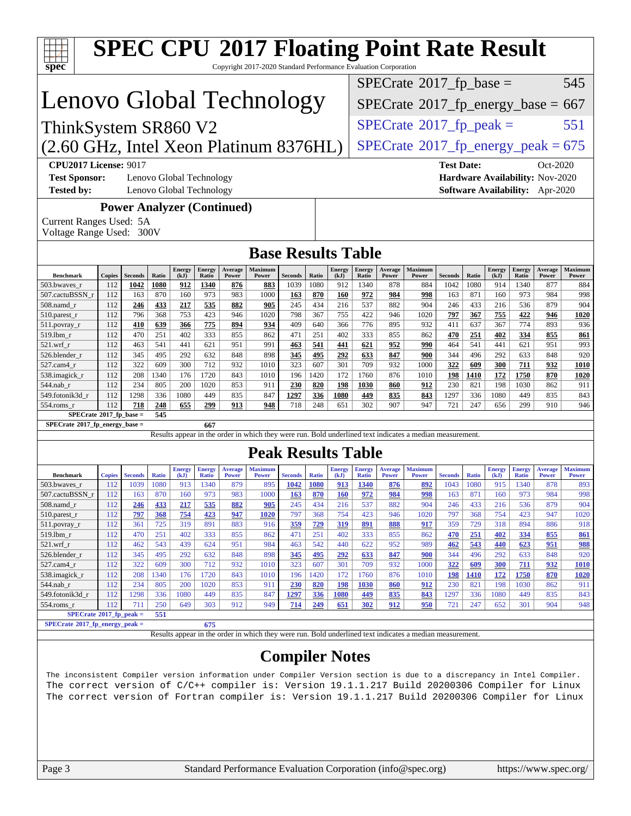| <b>SPEC CPU®2017 Floating Point Rate Result</b><br>Copyright 2017-2020 Standard Performance Evaluation Corporation                                                                                                                       |               |                |              |                       |                               |                                   |                                                                                                          |                |                    |                       |                                                                                        |                         |                                                   |                |              |                       |                               |                                |                                |
|------------------------------------------------------------------------------------------------------------------------------------------------------------------------------------------------------------------------------------------|---------------|----------------|--------------|-----------------------|-------------------------------|-----------------------------------|----------------------------------------------------------------------------------------------------------|----------------|--------------------|-----------------------|----------------------------------------------------------------------------------------|-------------------------|---------------------------------------------------|----------------|--------------|-----------------------|-------------------------------|--------------------------------|--------------------------------|
| spec <sup>®</sup>                                                                                                                                                                                                                        |               |                |              |                       |                               |                                   |                                                                                                          |                |                    |                       |                                                                                        |                         |                                                   |                |              |                       |                               |                                | 545                            |
| Lenovo Global Technology                                                                                                                                                                                                                 |               |                |              |                       |                               |                                   |                                                                                                          |                |                    |                       | $SPECrate^{\circ}2017$ _fp_base =<br>$SPECTate$ <sup>®</sup> 2017_fp_energy_base = 667 |                         |                                                   |                |              |                       |                               |                                |                                |
|                                                                                                                                                                                                                                          |               |                |              |                       |                               |                                   |                                                                                                          |                |                    |                       |                                                                                        |                         |                                                   |                |              |                       |                               |                                |                                |
| ThinkSystem SR860 V2                                                                                                                                                                                                                     |               |                |              |                       |                               |                                   |                                                                                                          |                |                    |                       |                                                                                        |                         | $SPECTate$ <sup>®</sup> 2017_fp_peak =            |                |              |                       |                               |                                | 551                            |
| (2.60 GHz, Intel Xeon Platinum 8376HL)                                                                                                                                                                                                   |               |                |              |                       |                               |                                   |                                                                                                          |                |                    |                       |                                                                                        |                         | $SPECTate$ <sup>®</sup> 2017_fp_energy_peak = 675 |                |              |                       |                               |                                |                                |
| <b>CPU2017 License: 9017</b><br><b>Test Date:</b><br>Oct-2020<br><b>Test Sponsor:</b><br>Lenovo Global Technology<br>Hardware Availability: Nov-2020<br><b>Tested by:</b><br>Lenovo Global Technology<br>Software Availability: Apr-2020 |               |                |              |                       |                               |                                   |                                                                                                          |                |                    |                       |                                                                                        |                         |                                                   |                |              |                       |                               |                                |                                |
| Current Ranges Used: 5A<br>Voltage Range Used: 300V                                                                                                                                                                                      |               |                |              |                       |                               | <b>Power Analyzer (Continued)</b> |                                                                                                          |                |                    |                       |                                                                                        |                         |                                                   |                |              |                       |                               |                                |                                |
|                                                                                                                                                                                                                                          |               |                |              |                       |                               |                                   | <b>Base Results Table</b>                                                                                |                |                    |                       |                                                                                        |                         |                                                   |                |              |                       |                               |                                |                                |
| <b>Benchmark</b>                                                                                                                                                                                                                         | <b>Copies</b> | <b>Seconds</b> | Ratio        | <b>Energy</b><br>(kJ) | Energy<br>Ratio               | Average<br>Power                  | <b>Maximum</b><br>Power                                                                                  | <b>Seconds</b> | Ratio              | <b>Energy</b><br>(kJ) | <b>Energy</b><br>Ratio                                                                 | Average<br>Power        | <b>Maximum</b><br>Power                           | <b>Seconds</b> | Ratio        | <b>Energy</b><br>(kJ) | <b>Energy</b><br>Ratio        | Average<br>Power               | Maximum<br>Power               |
| 503.bwaves_r<br>507.cactuBSSN_r                                                                                                                                                                                                          | 112<br>112    | 1042<br>163    | 1080<br>870  | 912<br>160            | 1340<br>973                   | 876<br>983                        | 883<br>1000                                                                                              | 1039<br>163    | 1080<br>870        | 912<br><b>160</b>     | 1340<br>972                                                                            | 878<br>984              | 884<br>998                                        | 1042<br>163    | 1080<br>871  | 914<br>160            | 1340<br>973                   | 877<br>984                     | 884<br>998                     |
| $508$ .namd_r                                                                                                                                                                                                                            | 112           | 246            | 433          | 217                   | 535                           | 882                               | 905                                                                                                      | 245            | 434                | 216                   | 537                                                                                    | 882                     | 904                                               | 246            | 433          | 216                   | 536                           | 879                            | 904                            |
| $510.parest_r$<br>$511.$ povray_r                                                                                                                                                                                                        | 112<br>112    | 796<br>410     | 368<br>639   | 753<br>366            | 423<br>775                    | 946<br>894                        | 1020<br>934                                                                                              | 798<br>409     | 367<br>640         | 755<br>366            | 422<br>776                                                                             | 946<br>895              | 1020<br>932                                       | 797<br>411     | 367<br>637   | 755<br>367            | 422<br>774                    | 946<br>893                     | 1020<br>936                    |
| 519.1bm_r                                                                                                                                                                                                                                | 112           | 470            | 251          | 402                   | 333                           | 855                               | 862                                                                                                      | 471            | 251                | 402                   | 333                                                                                    | 855                     | 862                                               | 470            | 251          | 402                   | 334                           | 855                            | 861                            |
| $521.wrf_r$                                                                                                                                                                                                                              | 112           | 463            | 541<br>495   | 441                   | 621<br>632                    | 951                               | 991<br>898                                                                                               | 463            | 541                | 441                   | 621                                                                                    | 952                     | 990                                               | 464            | 541<br>496   | 441                   | 621<br>633                    | 951                            | 993<br>920                     |
| 526.blender r<br>527.cam4_r                                                                                                                                                                                                              | 112<br>112    | 345<br>322     | 609          | 292<br>300            | 712                           | 848<br>932                        | 1010                                                                                                     | 345<br>323     | 495<br>607         | 292<br>301            | 633<br>709                                                                             | 847<br>932              | 900<br>1000                                       | 344<br>322     | 609          | 292<br>300            | 711                           | 848<br>932                     | 1010                           |
| 538.imagick_r                                                                                                                                                                                                                            | 112           | 208            | 1340         | 176                   | 1720                          | 843                               | 1010                                                                                                     | 196            | 1420               | 172                   | 1760                                                                                   | 876                     | 1010                                              | 198            | 1410         | 172                   | 1750                          | 870                            | 1020                           |
| $544$ .nab_r<br>549.fotonik3d r                                                                                                                                                                                                          | 112<br>112    | 234<br>1298    | 805<br>336   | 200<br>1080           | 1020<br>449                   | 853<br>835                        | 911<br>847                                                                                               | 230<br>1297    | 820<br>336         | 198<br>1080           | 1030<br>449                                                                            | 860<br>835              | 912<br>843                                        | 230<br>1297    | 821<br>336   | 198<br>1080           | 1030<br>449                   | 862<br>835                     | 911<br>843                     |
| 554.roms r                                                                                                                                                                                                                               | 112           | 718            | 248          | 655                   | 299                           | 913                               | 948                                                                                                      | 718            | 248                | 651                   | 302                                                                                    | 907                     | 947                                               | 721            | 247          | 656                   | 299                           | 910                            | 946                            |
| $SPECrate*2017_fp\_base =$<br>$SPECrate*2017_fp_energy_base =$                                                                                                                                                                           |               |                | 545          |                       | 667                           |                                   |                                                                                                          |                |                    |                       |                                                                                        |                         |                                                   |                |              |                       |                               |                                |                                |
|                                                                                                                                                                                                                                          |               |                |              |                       |                               |                                   | Results appear in the order in which they were run. Bold underlined text indicates a median measurement. |                |                    |                       |                                                                                        |                         |                                                   |                |              |                       |                               |                                |                                |
|                                                                                                                                                                                                                                          |               |                |              |                       |                               |                                   | <b>Peak Results Table</b>                                                                                |                |                    |                       |                                                                                        |                         |                                                   |                |              |                       |                               |                                |                                |
| <b>Benchmark</b>                                                                                                                                                                                                                         | <b>Copies</b> | <b>Seconds</b> | <b>Ratio</b> | <b>Energy</b><br>(kJ) | <b>Energy</b><br><b>Ratio</b> | <b>Average</b><br><b>Power</b>    | <b>Maximum</b><br><b>Power</b>                                                                           | <b>Seconds</b> | <b>Ratio</b>       | <b>Energy</b><br>(kJ) | <b>Energy</b><br><b>Ratio</b>                                                          | Average<br><b>Power</b> | <b>Maximum</b><br><b>Power</b>                    | <b>Seconds</b> | <b>Ratio</b> | <b>Energy</b><br>(kJ) | <b>Energy</b><br><b>Ratio</b> | <b>Average</b><br><b>Power</b> | <b>Maximum</b><br><b>Power</b> |
| 503.bwayes r<br>507.cactuBSSN r                                                                                                                                                                                                          | 112<br>112    | 1039<br>163    | 1080<br>870  | 913<br>160            | 1340<br>973                   | 879<br>983                        | 895<br>1000                                                                                              | 1042<br>163    | <b>1080</b><br>870 | 913<br><b>160</b>     | 1340<br>972                                                                            | 876<br>984              | 892<br>998                                        | 1043<br>163    | 1080<br>871  | 915<br>160            | 1340<br>973                   | 878<br>984                     | 893<br>998                     |
| 508.namd_r                                                                                                                                                                                                                               | 112           | <u>246</u>     | <u>433</u>   | <u>217</u>            | <u>535</u>                    | 882                               | 905                                                                                                      | 245            | 434                | 216                   | 537                                                                                    | 882                     | 904                                               | 246            | 433          | 216                   | 536                           | 879                            | 904                            |
| 510.parest_r                                                                                                                                                                                                                             | 112           | 797            | 368          | 754                   | 423                           | 947                               | 1020                                                                                                     | 797            | 368                | 754                   | 423                                                                                    | 946                     | 1020                                              | 797            | 368          | 754                   | 423                           | 947                            | 1020                           |
| 511.povray_r<br>$519.$ lbm_r                                                                                                                                                                                                             | 112<br>112    | 361<br>470     | 725<br>251   | 319<br>402            | 891<br>333                    | 883<br>855                        | 916<br>862                                                                                               | 359<br>471     | 729<br>251         | <u>319</u><br>402     | 891<br>333                                                                             | 888<br>855              | 917<br>862                                        | 359<br>470     | 729<br>251   | 318<br>402            | 894<br>334                    | 886<br>855                     | 918<br>861                     |
| $521.wrf_r$                                                                                                                                                                                                                              | 112           | 462            | 543          | 439                   | 624                           | 951                               | 984                                                                                                      | 463            | 542                | 440                   | 622                                                                                    | 952                     | 989                                               | <u>462</u>     | 543          | <u>440</u>            | 623                           | 951                            | 988                            |
| 526.blender_r<br>$527.cam4_r$                                                                                                                                                                                                            | 112<br>112    | 345<br>322     | 495<br>609   | 292<br>300            | 632<br>712                    | 848<br>932                        | 898<br>1010                                                                                              | 345<br>323     | <u>495</u><br>607  | 292<br>301            | 633<br>709                                                                             | 847<br>932              | 900<br>1000                                       | 344<br>322     | 496<br>609   | 292<br>300            | 633<br>711                    | 848<br>932                     | 920<br><b>1010</b>             |
| 538.imagick_r                                                                                                                                                                                                                            | 112           | 208            | 1340         | 176                   | 1720                          | 843                               | 1010                                                                                                     | 196            | 1420               | 172                   | 1760                                                                                   | 876                     | 1010                                              | <u>198</u>     | <b>1410</b>  | <u>172</u>            | 1750                          | 870                            | 1020                           |
| $544$ .nab_r                                                                                                                                                                                                                             | 112           | 234            | 805          | 200                   | 1020                          | 853                               | 911                                                                                                      | 230            | <u>820</u>         | <b>198</b>            | 1030                                                                                   | 860                     | 912                                               | 230            | 821          | 198                   | 1030                          | 862                            | 911                            |
| 549.fotonik3d r<br>$554$ .roms_r                                                                                                                                                                                                         | 112<br>112    | 1298<br>711    | 336<br>250   | 1080<br>649           | 449<br>303                    | 835<br>912                        | 847<br>949                                                                                               | 1297<br>714    | <b>336</b><br>249  | 1080<br>651           | <u>449</u><br>302                                                                      | 835<br>912              | 843<br>950                                        | 1297<br>721    | 336<br>247   | 1080<br>652           | 449<br>301                    | 835<br>904                     | 843<br>948                     |
| $SPECrate*2017_fp_peak =$                                                                                                                                                                                                                |               |                | 551          |                       |                               |                                   |                                                                                                          |                |                    |                       |                                                                                        |                         |                                                   |                |              |                       |                               |                                |                                |
| $SPECrate*2017_fp_energy_peak =$                                                                                                                                                                                                         |               |                |              |                       | 675                           |                                   |                                                                                                          |                |                    |                       |                                                                                        |                         |                                                   |                |              |                       |                               |                                |                                |
| Results appear in the order in which they were run. Bold underlined text indicates a median measurement.<br><b>Compiler Notes</b>                                                                                                        |               |                |              |                       |                               |                                   |                                                                                                          |                |                    |                       |                                                                                        |                         |                                                   |                |              |                       |                               |                                |                                |
| The inconsistent Compiler version information under Compiler Version section is due to a discrepancy in Intel Compiler.                                                                                                                  |               |                |              |                       |                               |                                   |                                                                                                          |                |                    |                       |                                                                                        |                         |                                                   |                |              |                       |                               |                                |                                |
| The correct version of C/C++ compiler is: Version 19.1.1.217 Build 20200306 Compiler for Linux<br>The correct version of Fortran compiler is: Version 19.1.1.217 Build 20200306 Compiler for Linux                                       |               |                |              |                       |                               |                                   |                                                                                                          |                |                    |                       |                                                                                        |                         |                                                   |                |              |                       |                               |                                |                                |
|                                                                                                                                                                                                                                          |               |                |              |                       |                               |                                   |                                                                                                          |                |                    |                       |                                                                                        |                         |                                                   |                |              |                       |                               |                                |                                |
|                                                                                                                                                                                                                                          |               |                |              |                       |                               |                                   |                                                                                                          |                |                    |                       |                                                                                        |                         |                                                   |                |              |                       |                               |                                |                                |
|                                                                                                                                                                                                                                          |               |                |              |                       |                               |                                   |                                                                                                          |                |                    |                       |                                                                                        |                         |                                                   |                |              |                       |                               |                                |                                |
|                                                                                                                                                                                                                                          |               |                |              |                       |                               |                                   |                                                                                                          |                |                    |                       |                                                                                        |                         |                                                   |                |              |                       |                               |                                |                                |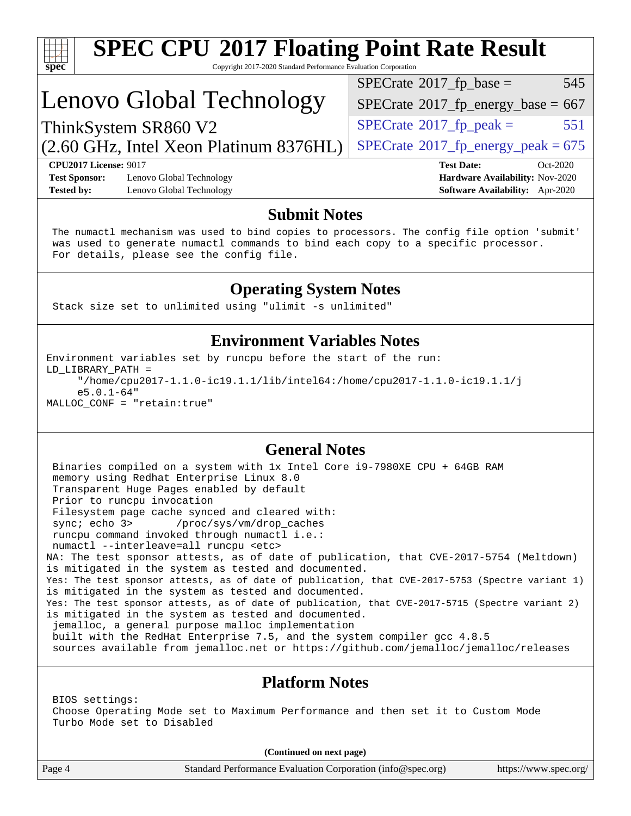| S<br>e<br>U<br>Ľ |  |  |  |  |
|------------------|--|--|--|--|

# **[SPEC CPU](http://www.spec.org/auto/cpu2017/Docs/result-fields.html#SPECCPU2017FloatingPointRateResult)[2017 Floating Point Rate Result](http://www.spec.org/auto/cpu2017/Docs/result-fields.html#SPECCPU2017FloatingPointRateResult)**

Copyright 2017-2020 Standard Performance Evaluation Corporation

# Lenovo Global Technology

(2.60 GHz, Intel Xeon Platinum 8376HL)

 $SPECTate^{\circ}2017$ \_fp\_base = 545

 $SPECTate$ <sup>®</sup>[2017\\_fp\\_energy\\_base =](http://www.spec.org/auto/cpu2017/Docs/result-fields.html#SPECrate2017fpenergybase) 667

 $SPECTate@2017<sub>fr</sub> peak = 551$ 

 $SPECTate@2017_fp\_energy\_peak = 675$ 

**[CPU2017 License:](http://www.spec.org/auto/cpu2017/Docs/result-fields.html#CPU2017License)** 9017 **[Test Date:](http://www.spec.org/auto/cpu2017/Docs/result-fields.html#TestDate)** Oct-2020 **[Test Sponsor:](http://www.spec.org/auto/cpu2017/Docs/result-fields.html#TestSponsor)** Lenovo Global Technology **[Hardware Availability:](http://www.spec.org/auto/cpu2017/Docs/result-fields.html#HardwareAvailability)** Nov-2020

ThinkSystem SR860 V2

**[Tested by:](http://www.spec.org/auto/cpu2017/Docs/result-fields.html#Testedby)** Lenovo Global Technology **[Software Availability:](http://www.spec.org/auto/cpu2017/Docs/result-fields.html#SoftwareAvailability)** Apr-2020

#### **[Submit Notes](http://www.spec.org/auto/cpu2017/Docs/result-fields.html#SubmitNotes)**

 The numactl mechanism was used to bind copies to processors. The config file option 'submit' was used to generate numactl commands to bind each copy to a specific processor. For details, please see the config file.

### **[Operating System Notes](http://www.spec.org/auto/cpu2017/Docs/result-fields.html#OperatingSystemNotes)**

Stack size set to unlimited using "ulimit -s unlimited"

### **[Environment Variables Notes](http://www.spec.org/auto/cpu2017/Docs/result-fields.html#EnvironmentVariablesNotes)**

Environment variables set by runcpu before the start of the run: LD\_LIBRARY\_PATH = "/home/cpu2017-1.1.0-ic19.1.1/lib/intel64:/home/cpu2017-1.1.0-ic19.1.1/j e5.0.1-64" MALLOC\_CONF = "retain:true"

### **[General Notes](http://www.spec.org/auto/cpu2017/Docs/result-fields.html#GeneralNotes)**

 Binaries compiled on a system with 1x Intel Core i9-7980XE CPU + 64GB RAM memory using Redhat Enterprise Linux 8.0 Transparent Huge Pages enabled by default Prior to runcpu invocation Filesystem page cache synced and cleared with: sync; echo 3> /proc/sys/vm/drop\_caches runcpu command invoked through numactl i.e.: numactl --interleave=all runcpu <etc> NA: The test sponsor attests, as of date of publication, that CVE-2017-5754 (Meltdown) is mitigated in the system as tested and documented. Yes: The test sponsor attests, as of date of publication, that CVE-2017-5753 (Spectre variant 1) is mitigated in the system as tested and documented. Yes: The test sponsor attests, as of date of publication, that CVE-2017-5715 (Spectre variant 2) is mitigated in the system as tested and documented. jemalloc, a general purpose malloc implementation built with the RedHat Enterprise 7.5, and the system compiler gcc 4.8.5 sources available from jemalloc.net or<https://github.com/jemalloc/jemalloc/releases>

### **[Platform Notes](http://www.spec.org/auto/cpu2017/Docs/result-fields.html#PlatformNotes)**

 BIOS settings: Choose Operating Mode set to Maximum Performance and then set it to Custom Mode Turbo Mode set to Disabled

**(Continued on next page)**

Page 4 Standard Performance Evaluation Corporation [\(info@spec.org\)](mailto:info@spec.org) <https://www.spec.org/>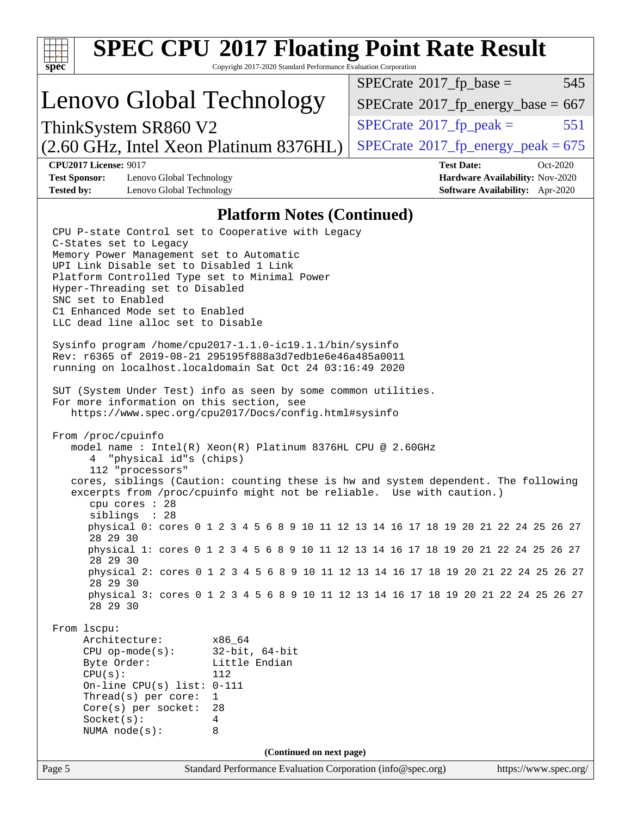| <b>SPEC CPU®2017 Floating Point Rate Result</b><br>Copyright 2017-2020 Standard Performance Evaluation Corporation<br>$spec^*$                                                                                                                                                                                                                                                                                                                                                                                                                                                                                                                                                                                                                                                                                                                                                                                                                                                                                                                                                                                                                                                                                                                                                                                                                                                                                                                                                                                                                                                                                                                                                                                       |                                                                                                     |  |  |  |  |  |
|----------------------------------------------------------------------------------------------------------------------------------------------------------------------------------------------------------------------------------------------------------------------------------------------------------------------------------------------------------------------------------------------------------------------------------------------------------------------------------------------------------------------------------------------------------------------------------------------------------------------------------------------------------------------------------------------------------------------------------------------------------------------------------------------------------------------------------------------------------------------------------------------------------------------------------------------------------------------------------------------------------------------------------------------------------------------------------------------------------------------------------------------------------------------------------------------------------------------------------------------------------------------------------------------------------------------------------------------------------------------------------------------------------------------------------------------------------------------------------------------------------------------------------------------------------------------------------------------------------------------------------------------------------------------------------------------------------------------|-----------------------------------------------------------------------------------------------------|--|--|--|--|--|
|                                                                                                                                                                                                                                                                                                                                                                                                                                                                                                                                                                                                                                                                                                                                                                                                                                                                                                                                                                                                                                                                                                                                                                                                                                                                                                                                                                                                                                                                                                                                                                                                                                                                                                                      | $SPECrate^{\circledast}2017$ _fp_base =<br>545                                                      |  |  |  |  |  |
| Lenovo Global Technology                                                                                                                                                                                                                                                                                                                                                                                                                                                                                                                                                                                                                                                                                                                                                                                                                                                                                                                                                                                                                                                                                                                                                                                                                                                                                                                                                                                                                                                                                                                                                                                                                                                                                             | $SPECTate^{\circ}2017$ _fp_energy_base = 667                                                        |  |  |  |  |  |
| ThinkSystem SR860 V2                                                                                                                                                                                                                                                                                                                                                                                                                                                                                                                                                                                                                                                                                                                                                                                                                                                                                                                                                                                                                                                                                                                                                                                                                                                                                                                                                                                                                                                                                                                                                                                                                                                                                                 | 551<br>$SPECrate^{\circ}2017$ _fp_peak =                                                            |  |  |  |  |  |
| (2.60 GHz, Intel Xeon Platinum 8376HL)                                                                                                                                                                                                                                                                                                                                                                                                                                                                                                                                                                                                                                                                                                                                                                                                                                                                                                                                                                                                                                                                                                                                                                                                                                                                                                                                                                                                                                                                                                                                                                                                                                                                               | $SPECTate^{\circ}2017$ _fp_energy_peak = 675                                                        |  |  |  |  |  |
| <b>CPU2017 License: 9017</b><br><b>Test Sponsor:</b><br>Lenovo Global Technology<br><b>Tested by:</b><br>Lenovo Global Technology                                                                                                                                                                                                                                                                                                                                                                                                                                                                                                                                                                                                                                                                                                                                                                                                                                                                                                                                                                                                                                                                                                                                                                                                                                                                                                                                                                                                                                                                                                                                                                                    | <b>Test Date:</b><br>Oct-2020<br>Hardware Availability: Nov-2020<br>Software Availability: Apr-2020 |  |  |  |  |  |
| <b>Platform Notes (Continued)</b>                                                                                                                                                                                                                                                                                                                                                                                                                                                                                                                                                                                                                                                                                                                                                                                                                                                                                                                                                                                                                                                                                                                                                                                                                                                                                                                                                                                                                                                                                                                                                                                                                                                                                    |                                                                                                     |  |  |  |  |  |
| CPU P-state Control set to Cooperative with Legacy<br>C-States set to Legacy<br>Memory Power Management set to Automatic<br>UPI Link Disable set to Disabled 1 Link<br>Platform Controlled Type set to Minimal Power<br>Hyper-Threading set to Disabled<br>SNC set to Enabled<br>C1 Enhanced Mode set to Enabled<br>LLC dead line alloc set to Disable<br>Sysinfo program /home/cpu2017-1.1.0-ic19.1.1/bin/sysinfo<br>Rev: r6365 of 2019-08-21 295195f888a3d7edb1e6e46a485a0011<br>running on localhost.localdomain Sat Oct 24 03:16:49 2020<br>SUT (System Under Test) info as seen by some common utilities.<br>For more information on this section, see<br>https://www.spec.org/cpu2017/Docs/config.html#sysinfo<br>From /proc/cpuinfo<br>model name: Intel(R) Xeon(R) Platinum 8376HL CPU @ 2.60GHz<br>"physical id"s (chips)<br>4<br>112 "processors"<br>cores, siblings (Caution: counting these is hw and system dependent. The following<br>excerpts from /proc/cpuinfo might not be reliable.<br>cpu cores $: 28$<br>siblings<br>: 28<br>physical 0: cores 0 1 2 3 4 5 6 8 9 10 11 12 13 14 16 17 18 19 20 21 22 24 25 26 27<br>28 29 30<br>physical 1: cores 0 1 2 3 4 5 6 8 9 10 11 12 13 14 16 17 18 19 20 21 22 24 25 26 27<br>28 29 30<br>physical 2: cores 0 1 2 3 4 5 6 8 9 10 11 12 13 14 16 17 18 19 20 21 22 24 25 26 27<br>28 29 30<br>physical 3: cores 0 1 2 3 4 5 6 8 9 10 11 12 13 14 16 17 18 19 20 21 22 24 25 26 27<br>28 29 30<br>From 1scpu:<br>Architecture:<br>x86_64<br>$32$ -bit, $64$ -bit<br>$CPU$ op-mode( $s$ ):<br>Byte Order:<br>Little Endian<br>CPU(s):<br>112<br>On-line CPU(s) list: $0-111$<br>Thread(s) per core:<br>1<br>Core(s) per socket:<br>28<br>Socket(s):<br>4 | Use with caution.)                                                                                  |  |  |  |  |  |
| NUMA $node(s)$ :<br>8                                                                                                                                                                                                                                                                                                                                                                                                                                                                                                                                                                                                                                                                                                                                                                                                                                                                                                                                                                                                                                                                                                                                                                                                                                                                                                                                                                                                                                                                                                                                                                                                                                                                                                |                                                                                                     |  |  |  |  |  |
| (Continued on next page)                                                                                                                                                                                                                                                                                                                                                                                                                                                                                                                                                                                                                                                                                                                                                                                                                                                                                                                                                                                                                                                                                                                                                                                                                                                                                                                                                                                                                                                                                                                                                                                                                                                                                             |                                                                                                     |  |  |  |  |  |
| Page 5<br>Standard Performance Evaluation Corporation (info@spec.org)                                                                                                                                                                                                                                                                                                                                                                                                                                                                                                                                                                                                                                                                                                                                                                                                                                                                                                                                                                                                                                                                                                                                                                                                                                                                                                                                                                                                                                                                                                                                                                                                                                                | https://www.spec.org/                                                                               |  |  |  |  |  |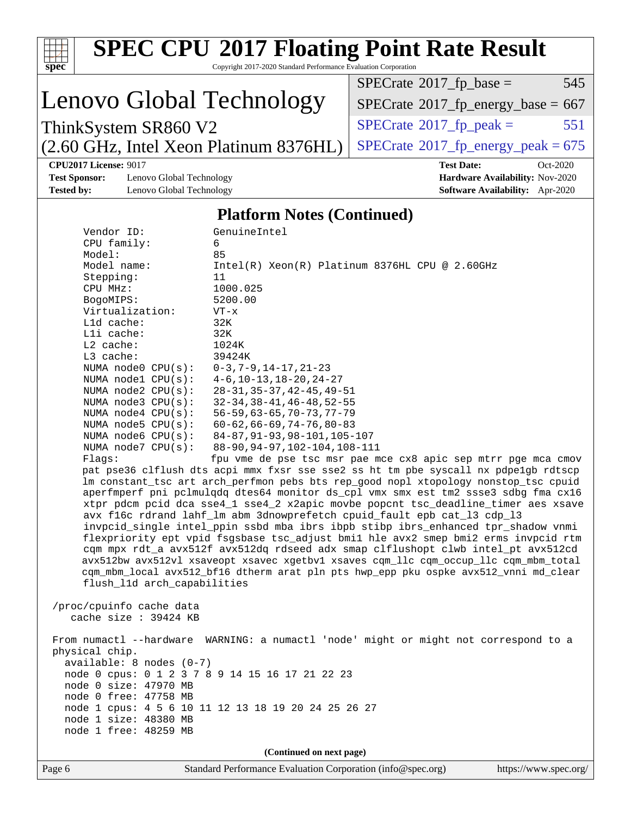| Copyright 2017-2020 Standard Performance Evaluation Corporation<br>$spec^*$<br>$SPECrate^{\circ}2017$ _fp_base =<br>545<br>Lenovo Global Technology<br>$SPECTate$ <sup>®</sup> 2017_fp_energy_base = 667<br>$SPECTate$ <sup>®</sup> 2017_fp_peak =<br>551<br>ThinkSystem SR860 V2<br>$SPECTate@2017_fp\_energy\_peak = 675$<br>(2.60 GHz, Intel Xeon Platinum 8376HL)<br><b>CPU2017 License: 9017</b><br><b>Test Date:</b><br>Oct-2020<br><b>Test Sponsor:</b><br>Lenovo Global Technology<br>Hardware Availability: Nov-2020<br>Software Availability: Apr-2020<br><b>Tested by:</b><br>Lenovo Global Technology<br><b>Platform Notes (Continued)</b><br>GenuineIntel<br>Vendor ID:<br>CPU family:<br>6<br>Model:<br>85<br>Model name:<br>Intel(R) Xeon(R) Platinum 8376HL CPU @ 2.60GHz<br>11<br>Stepping:<br>1000.025<br>CPU MHz:<br>5200.00<br>BogoMIPS:<br>Virtualization:<br>$VT - x$<br>L1d cache:<br>32K<br>Lli cache:<br>32K<br>L2 cache:<br>1024K<br>L3 cache:<br>39424K<br>NUMA node0 CPU(s):<br>$0-3, 7-9, 14-17, 21-23$<br>NUMA nodel CPU(s):<br>$4-6$ , $10-13$ , $18-20$ , $24-27$<br>NUMA $node2$ $CPU(s):$<br>$28 - 31, 35 - 37, 42 - 45, 49 - 51$<br>NUMA $node3$ $CPU(s)$ :<br>$32 - 34, 38 - 41, 46 - 48, 52 - 55$<br>$56 - 59, 63 - 65, 70 - 73, 77 - 79$<br>NUMA $node4$ $CPU(s)$ :<br>$60 - 62, 66 - 69, 74 - 76, 80 - 83$<br>NUMA $node5$ $CPU(s):$<br>NUMA node6 CPU(s):<br>84-87, 91-93, 98-101, 105-107<br>88-90, 94-97, 102-104, 108-111<br>NUMA $node7$ $CPU(s)$ :<br>fpu vme de pse tsc msr pae mce cx8 apic sep mtrr pge mca cmov<br>Flags:<br>pat pse36 clflush dts acpi mmx fxsr sse sse2 ss ht tm pbe syscall nx pdpelgb rdtscp<br>lm constant_tsc art arch_perfmon pebs bts rep_good nopl xtopology nonstop_tsc cpuid<br>aperfmperf pni pclmulqdq dtes64 monitor ds_cpl vmx smx est tm2 ssse3 sdbg fma cx16<br>xtpr pdcm pcid dca sse4_1 sse4_2 x2apic movbe popcnt tsc_deadline_timer aes xsave<br>avx f16c rdrand lahf_lm abm 3dnowprefetch cpuid_fault epb cat_13 cdp_13<br>invpcid_single intel_ppin ssbd mba ibrs ibpb stibp ibrs_enhanced tpr_shadow vnmi<br>flexpriority ept vpid fsgsbase tsc_adjust bmil hle avx2 smep bmi2 erms invpcid rtm<br>cqm mpx rdt_a avx512f avx512dq rdseed adx smap clflushopt clwb intel_pt avx512cd<br>avx512bw avx512vl xsaveopt xsavec xgetbvl xsaves cqm_llc cqm_occup_llc cqm_mbm_total<br>cqm_mbm_local avx512_bf16 dtherm arat pln pts hwp_epp pku ospke avx512_vnni md_clear<br>flush_11d arch_capabilities<br>/proc/cpuinfo cache data<br>cache size : 39424 KB<br>From numactl --hardware WARNING: a numactl 'node' might or might not correspond to a<br>physical chip.<br>available: 8 nodes (0-7)<br>node 0 cpus: 0 1 2 3 7 8 9 14 15 16 17 21 22 23<br>node 0 size: 47970 MB<br>node 0 free: 47758 MB<br>node 1 cpus: 4 5 6 10 11 12 13 18 19 20 24 25 26 27<br>node 1 size: 48380 MB<br>node 1 free: 48259 MB<br>(Continued on next page)<br>Standard Performance Evaluation Corporation (info@spec.org) | <b>SPEC CPU®2017 Floating Point Rate Result</b> |                       |
|-------------------------------------------------------------------------------------------------------------------------------------------------------------------------------------------------------------------------------------------------------------------------------------------------------------------------------------------------------------------------------------------------------------------------------------------------------------------------------------------------------------------------------------------------------------------------------------------------------------------------------------------------------------------------------------------------------------------------------------------------------------------------------------------------------------------------------------------------------------------------------------------------------------------------------------------------------------------------------------------------------------------------------------------------------------------------------------------------------------------------------------------------------------------------------------------------------------------------------------------------------------------------------------------------------------------------------------------------------------------------------------------------------------------------------------------------------------------------------------------------------------------------------------------------------------------------------------------------------------------------------------------------------------------------------------------------------------------------------------------------------------------------------------------------------------------------------------------------------------------------------------------------------------------------------------------------------------------------------------------------------------------------------------------------------------------------------------------------------------------------------------------------------------------------------------------------------------------------------------------------------------------------------------------------------------------------------------------------------------------------------------------------------------------------------------------------------------------------------------------------------------------------------------------------------------------------------------------------------------------------------------------------------------------------------------------------------------------------------------------------------------------------------------------------------------------------------------------------------------------------------------------------------------------------------------------------------------------------------------------------|-------------------------------------------------|-----------------------|
|                                                                                                                                                                                                                                                                                                                                                                                                                                                                                                                                                                                                                                                                                                                                                                                                                                                                                                                                                                                                                                                                                                                                                                                                                                                                                                                                                                                                                                                                                                                                                                                                                                                                                                                                                                                                                                                                                                                                                                                                                                                                                                                                                                                                                                                                                                                                                                                                                                                                                                                                                                                                                                                                                                                                                                                                                                                                                                                                                                                                 |                                                 |                       |
|                                                                                                                                                                                                                                                                                                                                                                                                                                                                                                                                                                                                                                                                                                                                                                                                                                                                                                                                                                                                                                                                                                                                                                                                                                                                                                                                                                                                                                                                                                                                                                                                                                                                                                                                                                                                                                                                                                                                                                                                                                                                                                                                                                                                                                                                                                                                                                                                                                                                                                                                                                                                                                                                                                                                                                                                                                                                                                                                                                                                 |                                                 |                       |
|                                                                                                                                                                                                                                                                                                                                                                                                                                                                                                                                                                                                                                                                                                                                                                                                                                                                                                                                                                                                                                                                                                                                                                                                                                                                                                                                                                                                                                                                                                                                                                                                                                                                                                                                                                                                                                                                                                                                                                                                                                                                                                                                                                                                                                                                                                                                                                                                                                                                                                                                                                                                                                                                                                                                                                                                                                                                                                                                                                                                 |                                                 |                       |
|                                                                                                                                                                                                                                                                                                                                                                                                                                                                                                                                                                                                                                                                                                                                                                                                                                                                                                                                                                                                                                                                                                                                                                                                                                                                                                                                                                                                                                                                                                                                                                                                                                                                                                                                                                                                                                                                                                                                                                                                                                                                                                                                                                                                                                                                                                                                                                                                                                                                                                                                                                                                                                                                                                                                                                                                                                                                                                                                                                                                 |                                                 |                       |
|                                                                                                                                                                                                                                                                                                                                                                                                                                                                                                                                                                                                                                                                                                                                                                                                                                                                                                                                                                                                                                                                                                                                                                                                                                                                                                                                                                                                                                                                                                                                                                                                                                                                                                                                                                                                                                                                                                                                                                                                                                                                                                                                                                                                                                                                                                                                                                                                                                                                                                                                                                                                                                                                                                                                                                                                                                                                                                                                                                                                 |                                                 |                       |
|                                                                                                                                                                                                                                                                                                                                                                                                                                                                                                                                                                                                                                                                                                                                                                                                                                                                                                                                                                                                                                                                                                                                                                                                                                                                                                                                                                                                                                                                                                                                                                                                                                                                                                                                                                                                                                                                                                                                                                                                                                                                                                                                                                                                                                                                                                                                                                                                                                                                                                                                                                                                                                                                                                                                                                                                                                                                                                                                                                                                 |                                                 |                       |
|                                                                                                                                                                                                                                                                                                                                                                                                                                                                                                                                                                                                                                                                                                                                                                                                                                                                                                                                                                                                                                                                                                                                                                                                                                                                                                                                                                                                                                                                                                                                                                                                                                                                                                                                                                                                                                                                                                                                                                                                                                                                                                                                                                                                                                                                                                                                                                                                                                                                                                                                                                                                                                                                                                                                                                                                                                                                                                                                                                                                 |                                                 |                       |
|                                                                                                                                                                                                                                                                                                                                                                                                                                                                                                                                                                                                                                                                                                                                                                                                                                                                                                                                                                                                                                                                                                                                                                                                                                                                                                                                                                                                                                                                                                                                                                                                                                                                                                                                                                                                                                                                                                                                                                                                                                                                                                                                                                                                                                                                                                                                                                                                                                                                                                                                                                                                                                                                                                                                                                                                                                                                                                                                                                                                 |                                                 |                       |
|                                                                                                                                                                                                                                                                                                                                                                                                                                                                                                                                                                                                                                                                                                                                                                                                                                                                                                                                                                                                                                                                                                                                                                                                                                                                                                                                                                                                                                                                                                                                                                                                                                                                                                                                                                                                                                                                                                                                                                                                                                                                                                                                                                                                                                                                                                                                                                                                                                                                                                                                                                                                                                                                                                                                                                                                                                                                                                                                                                                                 |                                                 |                       |
|                                                                                                                                                                                                                                                                                                                                                                                                                                                                                                                                                                                                                                                                                                                                                                                                                                                                                                                                                                                                                                                                                                                                                                                                                                                                                                                                                                                                                                                                                                                                                                                                                                                                                                                                                                                                                                                                                                                                                                                                                                                                                                                                                                                                                                                                                                                                                                                                                                                                                                                                                                                                                                                                                                                                                                                                                                                                                                                                                                                                 |                                                 |                       |
|                                                                                                                                                                                                                                                                                                                                                                                                                                                                                                                                                                                                                                                                                                                                                                                                                                                                                                                                                                                                                                                                                                                                                                                                                                                                                                                                                                                                                                                                                                                                                                                                                                                                                                                                                                                                                                                                                                                                                                                                                                                                                                                                                                                                                                                                                                                                                                                                                                                                                                                                                                                                                                                                                                                                                                                                                                                                                                                                                                                                 | Page 6                                          | https://www.spec.org/ |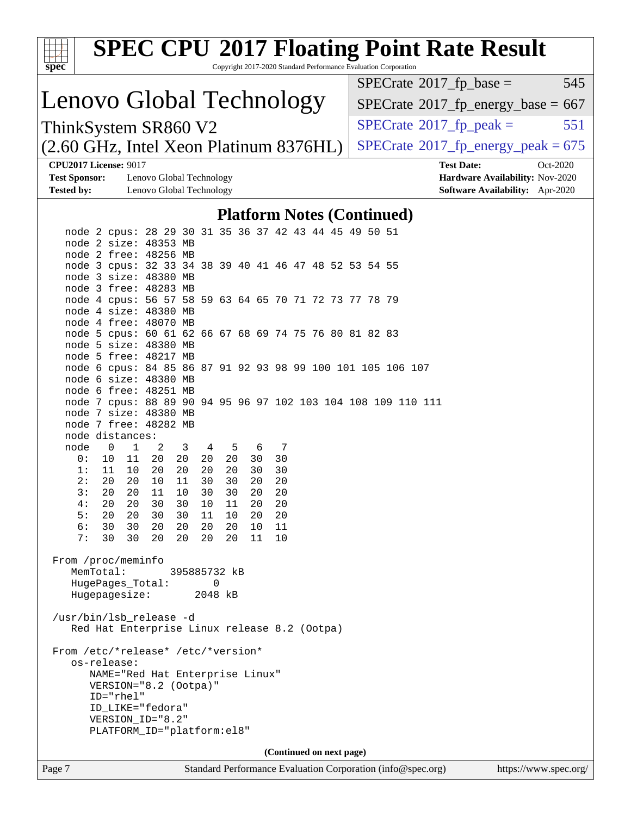| $spec^*$                                                                                                        |                                                                                      |                          |          | Copyright 2017-2020 Standard Performance Evaluation Corporation |          |          |                          |  |                                                               | <b>SPEC CPU®2017 Floating Point Rate Result</b>      |                       |
|-----------------------------------------------------------------------------------------------------------------|--------------------------------------------------------------------------------------|--------------------------|----------|-----------------------------------------------------------------|----------|----------|--------------------------|--|---------------------------------------------------------------|------------------------------------------------------|-----------------------|
|                                                                                                                 |                                                                                      |                          |          |                                                                 |          |          |                          |  |                                                               | $SPECrate^{\circ}2017$ _fp_base =                    | 545                   |
| Lenovo Global Technology                                                                                        |                                                                                      |                          |          |                                                                 |          |          |                          |  |                                                               | $SPECrate$ <sup>®</sup> $2017$ _fp_energy_base = 667 |                       |
| ThinkSystem SR860 V2                                                                                            |                                                                                      |                          |          |                                                                 |          |          |                          |  |                                                               | $SPECrate^{\circ}2017$ _fp_peak =                    | 551                   |
| $(2.60 \text{ GHz}, \text{Intel Xeon Platinum } 8376 \text{HL})$                                                |                                                                                      |                          |          |                                                                 |          |          |                          |  |                                                               | $SPECTate^{\circ}2017$ _fp_energy_peak = 675         |                       |
|                                                                                                                 | <b>CPU2017 License: 9017</b>                                                         |                          |          |                                                                 |          |          |                          |  |                                                               | <b>Test Date:</b>                                    | Oct-2020              |
| <b>Test Sponsor:</b>                                                                                            |                                                                                      | Lenovo Global Technology |          |                                                                 |          |          |                          |  |                                                               | Hardware Availability: Nov-2020                      |                       |
| <b>Tested by:</b>                                                                                               |                                                                                      | Lenovo Global Technology |          |                                                                 |          |          |                          |  |                                                               | Software Availability: Apr-2020                      |                       |
|                                                                                                                 |                                                                                      |                          |          | <b>Platform Notes (Continued)</b>                               |          |          |                          |  |                                                               |                                                      |                       |
|                                                                                                                 | node 2 cpus: 28 29 30 31 35 36 37 42 43 44 45 49 50 51                               |                          |          |                                                                 |          |          |                          |  |                                                               |                                                      |                       |
|                                                                                                                 | node 2 size: 48353 MB                                                                |                          |          |                                                                 |          |          |                          |  |                                                               |                                                      |                       |
|                                                                                                                 | node 2 free: 48256 MB<br>node 3 cpus: 32 33 34 38 39 40 41 46 47 48 52 53 54 55      |                          |          |                                                                 |          |          |                          |  |                                                               |                                                      |                       |
|                                                                                                                 | node 3 size: 48380 MB                                                                |                          |          |                                                                 |          |          |                          |  |                                                               |                                                      |                       |
|                                                                                                                 | node 3 free: 48283 MB                                                                |                          |          |                                                                 |          |          |                          |  |                                                               |                                                      |                       |
|                                                                                                                 | node 4 cpus: 56 57 58 59 63 64 65 70 71 72 73 77 78 79<br>node 4 size: 48380 MB      |                          |          |                                                                 |          |          |                          |  |                                                               |                                                      |                       |
|                                                                                                                 | node 4 free: 48070 MB                                                                |                          |          |                                                                 |          |          |                          |  |                                                               |                                                      |                       |
|                                                                                                                 | node 5 cpus: 60 61 62 66 67 68 69 74 75 76 80 81 82 83                               |                          |          |                                                                 |          |          |                          |  |                                                               |                                                      |                       |
|                                                                                                                 | node 5 size: 48380 MB                                                                |                          |          |                                                                 |          |          |                          |  |                                                               |                                                      |                       |
|                                                                                                                 | node 5 free: 48217 MB<br>node 6 cpus: 84 85 86 87 91 92 93 98 99 100 101 105 106 107 |                          |          |                                                                 |          |          |                          |  |                                                               |                                                      |                       |
|                                                                                                                 | node 6 size: 48380 MB                                                                |                          |          |                                                                 |          |          |                          |  |                                                               |                                                      |                       |
|                                                                                                                 | node 6 free: 48251 MB                                                                |                          |          |                                                                 |          |          |                          |  |                                                               |                                                      |                       |
|                                                                                                                 | node 7 size: 48380 MB                                                                |                          |          |                                                                 |          |          |                          |  | node 7 cpus: 88 89 90 94 95 96 97 102 103 104 108 109 110 111 |                                                      |                       |
|                                                                                                                 | node 7 free: 48282 MB                                                                |                          |          |                                                                 |          |          |                          |  |                                                               |                                                      |                       |
|                                                                                                                 | node distances:                                                                      |                          |          |                                                                 |          |          |                          |  |                                                               |                                                      |                       |
| node                                                                                                            | $\mathbf{0}$<br>1                                                                    | 2<br>3                   | 4        | 5                                                               | 6        | 7        |                          |  |                                                               |                                                      |                       |
| 0 :<br>1:                                                                                                       | 11<br>10                                                                             | 20<br>- 20               | 20<br>20 | 20                                                              | 30       | 30       |                          |  |                                                               |                                                      |                       |
| 2:                                                                                                              | 11<br>10<br>20<br>20                                                                 | 20<br>20<br>10<br>11     | 30       | 20<br>30                                                        | 30<br>20 | 30<br>20 |                          |  |                                                               |                                                      |                       |
| 3:                                                                                                              | 20<br>20                                                                             | 11<br>10                 | 30       | 30                                                              | 20       | 20       |                          |  |                                                               |                                                      |                       |
| 4 :                                                                                                             | 20<br>20                                                                             | 30<br>30                 | 10       | 11                                                              | 20       | 20       |                          |  |                                                               |                                                      |                       |
| 5:<br>6 :                                                                                                       | 20<br>20<br>30<br>30                                                                 | 30<br>30<br>20<br>20     | 11<br>20 | 10<br>20                                                        | 20<br>10 | 20<br>11 |                          |  |                                                               |                                                      |                       |
| 7:                                                                                                              | 30<br>30                                                                             | 20<br>20                 | 20       | 20                                                              | 11       | 10       |                          |  |                                                               |                                                      |                       |
| From /proc/meminfo<br>MemTotal:<br>395885732 kB<br>$\mathbf{0}$<br>HugePages_Total:<br>Hugepagesize:<br>2048 kB |                                                                                      |                          |          |                                                                 |          |          |                          |  |                                                               |                                                      |                       |
| /usr/bin/lsb_release -d<br>Red Hat Enterprise Linux release 8.2 (Ootpa)                                         |                                                                                      |                          |          |                                                                 |          |          |                          |  |                                                               |                                                      |                       |
|                                                                                                                 | From /etc/*release* /etc/*version*<br>os-release:                                    |                          |          |                                                                 |          |          |                          |  |                                                               |                                                      |                       |
|                                                                                                                 | NAME="Red Hat Enterprise Linux"<br>VERSION="8.2 (Ootpa)"                             |                          |          |                                                                 |          |          |                          |  |                                                               |                                                      |                       |
|                                                                                                                 | ID="rhel"                                                                            |                          |          |                                                                 |          |          |                          |  |                                                               |                                                      |                       |
|                                                                                                                 | ID_LIKE="fedora"<br>VERSION_ID="8.2"                                                 |                          |          |                                                                 |          |          |                          |  |                                                               |                                                      |                       |
|                                                                                                                 | PLATFORM_ID="platform:el8"                                                           |                          |          |                                                                 |          |          |                          |  |                                                               |                                                      |                       |
|                                                                                                                 |                                                                                      |                          |          |                                                                 |          |          |                          |  |                                                               |                                                      |                       |
|                                                                                                                 |                                                                                      |                          |          |                                                                 |          |          | (Continued on next page) |  |                                                               |                                                      |                       |
| Page 7                                                                                                          |                                                                                      |                          |          |                                                                 |          |          |                          |  | Standard Performance Evaluation Corporation (info@spec.org)   |                                                      | https://www.spec.org/ |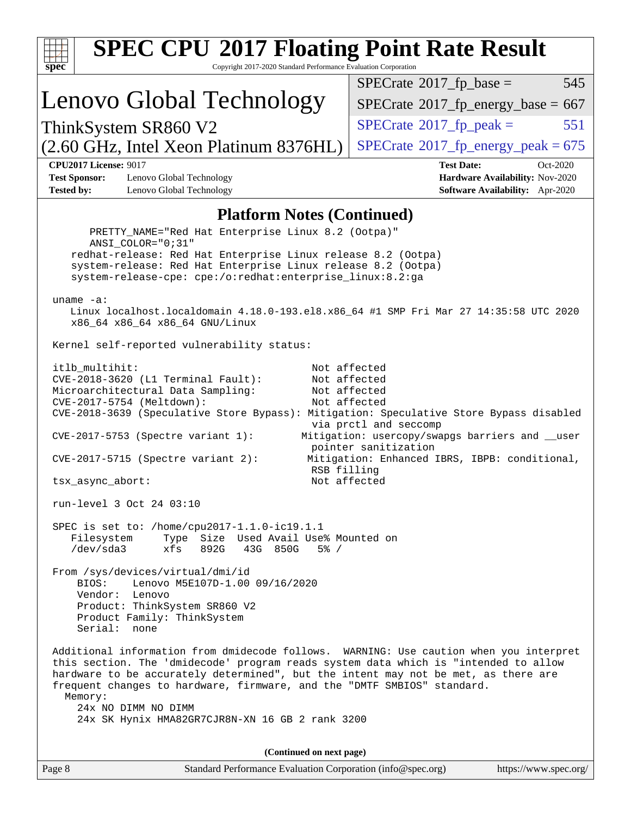| <b>SPEC CPU®2017 Floating Point Rate Result</b><br>Copyright 2017-2020 Standard Performance Evaluation Corporation<br>spec <sup>®</sup>                                                                                                                                                                                                                                                                                                                                                                                                                                                                                                                                                                                                                                                                   |                                                                                                     |  |  |  |
|-----------------------------------------------------------------------------------------------------------------------------------------------------------------------------------------------------------------------------------------------------------------------------------------------------------------------------------------------------------------------------------------------------------------------------------------------------------------------------------------------------------------------------------------------------------------------------------------------------------------------------------------------------------------------------------------------------------------------------------------------------------------------------------------------------------|-----------------------------------------------------------------------------------------------------|--|--|--|
|                                                                                                                                                                                                                                                                                                                                                                                                                                                                                                                                                                                                                                                                                                                                                                                                           | $SPECrate^{\circledast}2017$ _fp_base =<br>545                                                      |  |  |  |
| Lenovo Global Technology                                                                                                                                                                                                                                                                                                                                                                                                                                                                                                                                                                                                                                                                                                                                                                                  | $SPECTate$ <sup>®</sup> 2017_fp_energy_base = 667                                                   |  |  |  |
| ThinkSystem SR860 V2                                                                                                                                                                                                                                                                                                                                                                                                                                                                                                                                                                                                                                                                                                                                                                                      | $SPECTate$ <sup>®</sup> 2017_fp_peak =<br>551                                                       |  |  |  |
| (2.60 GHz, Intel Xeon Platinum 8376HL)                                                                                                                                                                                                                                                                                                                                                                                                                                                                                                                                                                                                                                                                                                                                                                    | $SPECTate$ <sup>®</sup> 2017_fp_energy_peak = 675                                                   |  |  |  |
| <b>CPU2017 License: 9017</b><br><b>Test Sponsor:</b><br>Lenovo Global Technology<br><b>Tested by:</b><br>Lenovo Global Technology                                                                                                                                                                                                                                                                                                                                                                                                                                                                                                                                                                                                                                                                         | <b>Test Date:</b><br>Oct-2020<br>Hardware Availability: Nov-2020<br>Software Availability: Apr-2020 |  |  |  |
| <b>Platform Notes (Continued)</b>                                                                                                                                                                                                                                                                                                                                                                                                                                                                                                                                                                                                                                                                                                                                                                         |                                                                                                     |  |  |  |
| PRETTY_NAME="Red Hat Enterprise Linux 8.2 (Ootpa)"<br>ANSI COLOR="0;31"<br>redhat-release: Red Hat Enterprise Linux release 8.2 (Ootpa)<br>system-release: Red Hat Enterprise Linux release 8.2 (Ootpa)<br>system-release-cpe: cpe:/o:redhat:enterprise_linux:8.2:ga<br>uname $-a$ :<br>Linux localhost.localdomain 4.18.0-193.el8.x86_64 #1 SMP Fri Mar 27 14:35:58 UTC 2020<br>x86_64 x86_64 x86_64 GNU/Linux<br>Kernel self-reported vulnerability status:                                                                                                                                                                                                                                                                                                                                             |                                                                                                     |  |  |  |
| itlb_multihit:<br>Not affected<br>$CVE-2018-3620$ (L1 Terminal Fault):<br>Not affected<br>Not affected<br>Microarchitectural Data Sampling:<br>CVE-2017-5754 (Meltdown):<br>Not affected<br>CVE-2018-3639 (Speculative Store Bypass): Mitigation: Speculative Store Bypass disabled<br>via prctl and seccomp<br>Mitigation: usercopy/swapgs barriers and __user<br>$CVE-2017-5753$ (Spectre variant 1):<br>pointer sanitization<br>Mitigation: Enhanced IBRS, IBPB: conditional,<br>$CVE-2017-5715$ (Spectre variant 2):<br>RSB filling<br>Not affected<br>tsx_async_abort:                                                                                                                                                                                                                               |                                                                                                     |  |  |  |
| run-level 3 Oct 24 03:10<br>SPEC is set to: /home/cpu2017-1.1.0-ic19.1.1<br>Filesystem<br>Type Size Used Avail Use% Mounted on<br>/dev/sda3<br>xfs<br>892G<br>43G 850G<br>$5\%$ /<br>From /sys/devices/virtual/dmi/id<br>Lenovo M5E107D-1.00 09/16/2020<br>BIOS:<br>Vendor: Lenovo<br>Product: ThinkSystem SR860 V2<br>Product Family: ThinkSystem<br>Serial: none<br>Additional information from dmidecode follows. WARNING: Use caution when you interpret<br>this section. The 'dmidecode' program reads system data which is "intended to allow<br>hardware to be accurately determined", but the intent may not be met, as there are<br>frequent changes to hardware, firmware, and the "DMTF SMBIOS" standard.<br>Memory:<br>24x NO DIMM NO DIMM<br>24x SK Hynix HMA82GR7CJR8N-XN 16 GB 2 rank 3200 |                                                                                                     |  |  |  |
| (Continued on next page)                                                                                                                                                                                                                                                                                                                                                                                                                                                                                                                                                                                                                                                                                                                                                                                  |                                                                                                     |  |  |  |
| Standard Performance Evaluation Corporation (info@spec.org)<br>Page 8                                                                                                                                                                                                                                                                                                                                                                                                                                                                                                                                                                                                                                                                                                                                     | https://www.spec.org/                                                                               |  |  |  |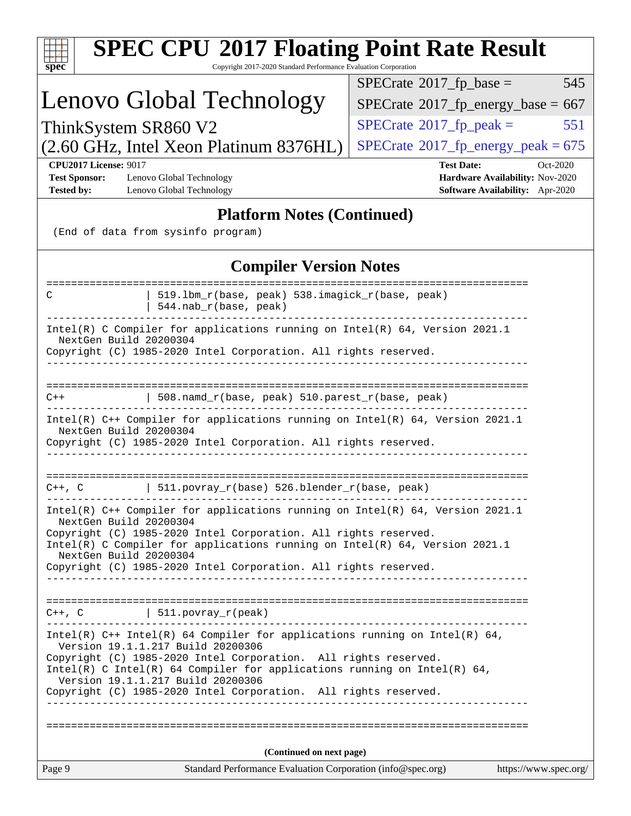| <b>SPEC CPU®2017 Floating Point Rate Result</b><br>Copyright 2017-2020 Standard Performance Evaluation Corporation<br>spec <sup>®</sup>                                              |                                                                    |  |  |  |  |
|--------------------------------------------------------------------------------------------------------------------------------------------------------------------------------------|--------------------------------------------------------------------|--|--|--|--|
|                                                                                                                                                                                      | $SPECrate^{\circ}2017$ _fp_base =<br>545                           |  |  |  |  |
| Lenovo Global Technology                                                                                                                                                             | $SPECTate$ <sup>®</sup> 2017_fp_energy_base = 667                  |  |  |  |  |
| ThinkSystem SR860 V2                                                                                                                                                                 | $SPECrate^{\circ}2017$ _fp_peak =<br>551                           |  |  |  |  |
| (2.60 GHz, Intel Xeon Platinum 8376HL)                                                                                                                                               | $SPECTate^{\circ}2017$ _fp_energy_peak = 675                       |  |  |  |  |
| <b>CPU2017 License: 9017</b>                                                                                                                                                         | <b>Test Date:</b><br>$Oct-2020$                                    |  |  |  |  |
| <b>Test Sponsor:</b><br>Lenovo Global Technology<br><b>Tested by:</b><br>Lenovo Global Technology                                                                                    | Hardware Availability: Nov-2020<br>Software Availability: Apr-2020 |  |  |  |  |
| <b>Platform Notes (Continued)</b>                                                                                                                                                    |                                                                    |  |  |  |  |
| (End of data from sysinfo program)                                                                                                                                                   |                                                                    |  |  |  |  |
| <b>Compiler Version Notes</b>                                                                                                                                                        |                                                                    |  |  |  |  |
| 519.1bm_r(base, peak) 538.imagick_r(base, peak)<br>С<br>544.nab_r(base, peak)                                                                                                        |                                                                    |  |  |  |  |
| Intel(R) C Compiler for applications running on Intel(R) 64, Version 2021.1<br>NextGen Build 20200304<br>Copyright (C) 1985-2020 Intel Corporation. All rights reserved.             |                                                                    |  |  |  |  |
|                                                                                                                                                                                      |                                                                    |  |  |  |  |
| 508.namd_r(base, peak) 510.parest_r(base, peak)<br>$C++$                                                                                                                             |                                                                    |  |  |  |  |
| Intel(R) C++ Compiler for applications running on Intel(R) 64, Version 2021.1<br>NextGen Build 20200304<br>Copyright (C) 1985-2020 Intel Corporation. All rights reserved.           |                                                                    |  |  |  |  |
| 511.povray_r(base) 526.blender_r(base, peak)<br>$C++$ , $C$                                                                                                                          |                                                                    |  |  |  |  |
| Intel(R) $C++$ Compiler for applications running on Intel(R) 64, Version 2021.1<br>NextGen Build 20200304                                                                            |                                                                    |  |  |  |  |
| Copyright (C) 1985-2020 Intel Corporation. All rights reserved.<br>Intel(R) C Compiler for applications running on Intel(R) 64, Version 2021.1<br>NextGen Build 20200304             |                                                                    |  |  |  |  |
| Copyright (C) 1985-2020 Intel Corporation. All rights reserved.                                                                                                                      |                                                                    |  |  |  |  |
| $C++$ , C $\qquad \qquad \vert$ 511.povray_r(peak)                                                                                                                                   |                                                                    |  |  |  |  |
| Intel(R) $C++$ Intel(R) 64 Compiler for applications running on Intel(R) 64,<br>Version 19.1.1.217 Build 20200306<br>Copyright (C) 1985-2020 Intel Corporation. All rights reserved. |                                                                    |  |  |  |  |
| Intel(R) C Intel(R) 64 Compiler for applications running on Intel(R) 64,<br>Version 19.1.1.217 Build 20200306<br>Copyright (C) 1985-2020 Intel Corporation. All rights reserved.     |                                                                    |  |  |  |  |
|                                                                                                                                                                                      |                                                                    |  |  |  |  |
|                                                                                                                                                                                      |                                                                    |  |  |  |  |
| (Continued on next page)                                                                                                                                                             |                                                                    |  |  |  |  |
| Page 9<br>Standard Performance Evaluation Corporation (info@spec.org)                                                                                                                | https://www.spec.org/                                              |  |  |  |  |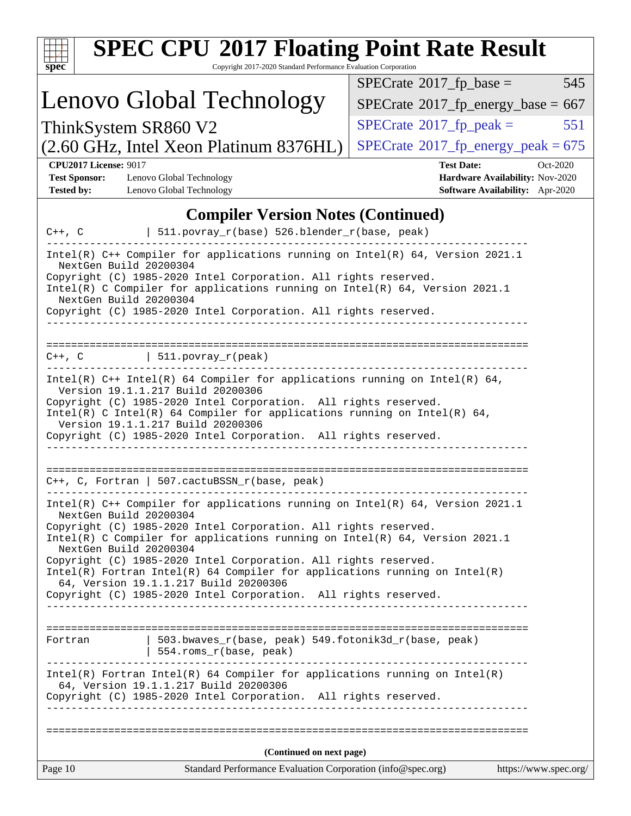| <b>SPEC CPU®2017 Floating Point Rate Result</b><br>Copyright 2017-2020 Standard Performance Evaluation Corporation<br>$spec^*$                                                                                                                                                                                                                                                                                                                                                                                                                        |                                                                                |  |  |  |  |
|-------------------------------------------------------------------------------------------------------------------------------------------------------------------------------------------------------------------------------------------------------------------------------------------------------------------------------------------------------------------------------------------------------------------------------------------------------------------------------------------------------------------------------------------------------|--------------------------------------------------------------------------------|--|--|--|--|
| $SPECrate^{\circ}2017$ _fp_base =                                                                                                                                                                                                                                                                                                                                                                                                                                                                                                                     | 545                                                                            |  |  |  |  |
| Lenovo Global Technology<br>$SPECTate@2017_fp\_energy\_base = 667$                                                                                                                                                                                                                                                                                                                                                                                                                                                                                    |                                                                                |  |  |  |  |
| $SPECrate^{\circ}2017$ fp peak =<br>ThinkSystem SR860 V2                                                                                                                                                                                                                                                                                                                                                                                                                                                                                              | 551                                                                            |  |  |  |  |
| (2.60 GHz, Intel Xeon Platinum 8376HL)<br>$SPECTate$ <sup>®</sup> 2017_fp_energy_peak = 675                                                                                                                                                                                                                                                                                                                                                                                                                                                           |                                                                                |  |  |  |  |
| <b>CPU2017 License: 9017</b><br><b>Test Date:</b><br><b>Test Sponsor:</b><br>Lenovo Global Technology<br>Lenovo Global Technology<br><b>Tested by:</b>                                                                                                                                                                                                                                                                                                                                                                                                | Oct-2020<br>Hardware Availability: Nov-2020<br>Software Availability: Apr-2020 |  |  |  |  |
| <b>Compiler Version Notes (Continued)</b><br>511.povray_r(base) 526.blender_r(base, peak)<br>$C++$ , $C$                                                                                                                                                                                                                                                                                                                                                                                                                                              |                                                                                |  |  |  |  |
| Intel(R) C++ Compiler for applications running on Intel(R) 64, Version 2021.1<br>NextGen Build 20200304<br>Copyright (C) 1985-2020 Intel Corporation. All rights reserved.<br>Intel(R) C Compiler for applications running on Intel(R) 64, Version 2021.1<br>NextGen Build 20200304<br>Copyright (C) 1985-2020 Intel Corporation. All rights reserved.                                                                                                                                                                                                |                                                                                |  |  |  |  |
| $  511. povray_r (peak)$<br>$C++$ , $C$                                                                                                                                                                                                                                                                                                                                                                                                                                                                                                               |                                                                                |  |  |  |  |
| Intel(R) $C++$ Intel(R) 64 Compiler for applications running on Intel(R) 64,<br>Version 19.1.1.217 Build 20200306<br>Copyright (C) 1985-2020 Intel Corporation. All rights reserved.<br>Intel(R) C Intel(R) 64 Compiler for applications running on Intel(R) 64,<br>Version 19.1.1.217 Build 20200306<br>Copyright (C) 1985-2020 Intel Corporation. All rights reserved.                                                                                                                                                                              |                                                                                |  |  |  |  |
| C++, C, Fortran   507.cactuBSSN_r(base, peak)                                                                                                                                                                                                                                                                                                                                                                                                                                                                                                         |                                                                                |  |  |  |  |
| Intel(R) C++ Compiler for applications running on Intel(R) 64, Version 2021.1<br>NextGen Build 20200304<br>Copyright (C) 1985-2020 Intel Corporation. All rights reserved.<br>Intel(R) C Compiler for applications running on $Intel(R) 64$ , Version 2021.1<br>NextGen Build 20200304<br>Copyright (C) 1985-2020 Intel Corporation. All rights reserved.<br>$Intel(R)$ Fortran Intel(R) 64 Compiler for applications running on Intel(R)<br>64, Version 19.1.1.217 Build 20200306<br>Copyright (C) 1985-2020 Intel Corporation. All rights reserved. |                                                                                |  |  |  |  |
| 503.bwaves_r(base, peak) 549.fotonik3d_r(base, peak)<br>Fortran<br>554.roms_r(base, peak)                                                                                                                                                                                                                                                                                                                                                                                                                                                             |                                                                                |  |  |  |  |
| $Intel(R)$ Fortran Intel(R) 64 Compiler for applications running on Intel(R)<br>64, Version 19.1.1.217 Build 20200306<br>Copyright (C) 1985-2020 Intel Corporation. All rights reserved.                                                                                                                                                                                                                                                                                                                                                              |                                                                                |  |  |  |  |
|                                                                                                                                                                                                                                                                                                                                                                                                                                                                                                                                                       |                                                                                |  |  |  |  |
| (Continued on next page)<br>Page 10<br>Standard Performance Evaluation Corporation (info@spec.org)                                                                                                                                                                                                                                                                                                                                                                                                                                                    | https://www.spec.org/                                                          |  |  |  |  |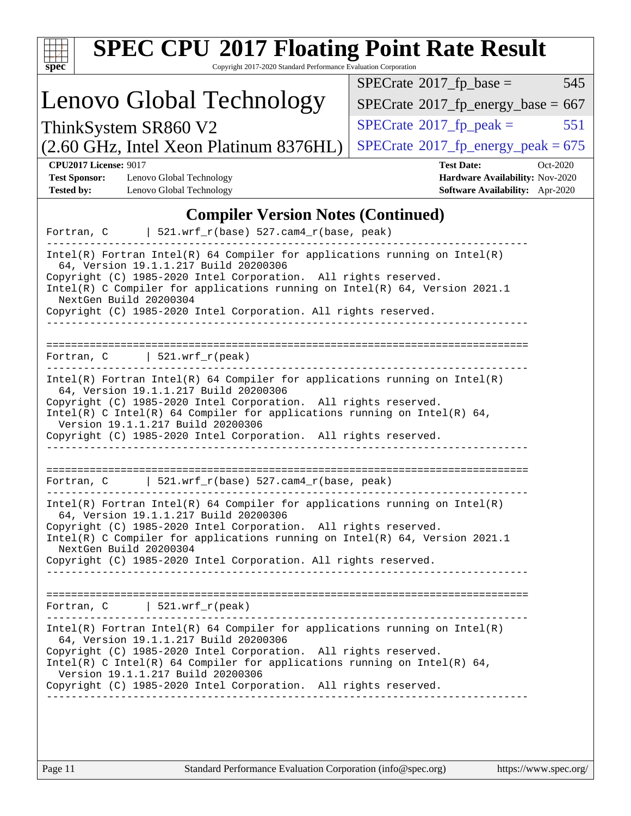| <b>SPEC CPU®2017 Floating Point Rate Result</b><br>Copyright 2017-2020 Standard Performance Evaluation Corporation<br>$spec^*$                                                                                                                                                                                                                                               |                                                                                                            |  |  |  |  |
|------------------------------------------------------------------------------------------------------------------------------------------------------------------------------------------------------------------------------------------------------------------------------------------------------------------------------------------------------------------------------|------------------------------------------------------------------------------------------------------------|--|--|--|--|
|                                                                                                                                                                                                                                                                                                                                                                              | 545<br>$SPECrate^{\circ}2017$ _fp_base =                                                                   |  |  |  |  |
| Lenovo Global Technology                                                                                                                                                                                                                                                                                                                                                     | $SPECTate^{\circ}2017$ _fp_energy_base = 667                                                               |  |  |  |  |
| ThinkSystem SR860 V2                                                                                                                                                                                                                                                                                                                                                         | $SPECrate^{\circ}2017$ _fp_peak =<br>551                                                                   |  |  |  |  |
| (2.60 GHz, Intel Xeon Platinum 8376HL)                                                                                                                                                                                                                                                                                                                                       | $SPECTate^{\circ}2017$ _fp_energy_peak = 675                                                               |  |  |  |  |
| <b>CPU2017 License: 9017</b><br><b>Test Sponsor:</b><br>Lenovo Global Technology<br><b>Tested by:</b><br>Lenovo Global Technology                                                                                                                                                                                                                                            | <b>Test Date:</b><br>Oct-2020<br><b>Hardware Availability: Nov-2020</b><br>Software Availability: Apr-2020 |  |  |  |  |
| <b>Compiler Version Notes (Continued)</b>                                                                                                                                                                                                                                                                                                                                    |                                                                                                            |  |  |  |  |
| $521.wrf_r(base) 527.cam4_r(base, peak)$<br>Fortran, C                                                                                                                                                                                                                                                                                                                       |                                                                                                            |  |  |  |  |
| $Intel(R)$ Fortran Intel(R) 64 Compiler for applications running on Intel(R)<br>64, Version 19.1.1.217 Build 20200306<br>Copyright (C) 1985-2020 Intel Corporation. All rights reserved.<br>Intel(R) C Compiler for applications running on Intel(R) 64, Version 2021.1<br>NextGen Build 20200304<br>Copyright (C) 1985-2020 Intel Corporation. All rights reserved.         |                                                                                                            |  |  |  |  |
| ===================<br>  521.wrf $r(\text{peak})$<br>Fortran, C                                                                                                                                                                                                                                                                                                              |                                                                                                            |  |  |  |  |
| $Intel(R)$ Fortran Intel(R) 64 Compiler for applications running on Intel(R)<br>64, Version 19.1.1.217 Build 20200306<br>Copyright (C) 1985-2020 Intel Corporation. All rights reserved.<br>Intel(R) C Intel(R) 64 Compiler for applications running on Intel(R) 64,<br>Version 19.1.1.217 Build 20200306<br>Copyright (C) 1985-2020 Intel Corporation. All rights reserved. |                                                                                                            |  |  |  |  |
| $521.wrf_r(base) 527.cam4_r(base, peak)$<br>Fortran, C                                                                                                                                                                                                                                                                                                                       |                                                                                                            |  |  |  |  |
| $Intel(R)$ Fortran Intel(R) 64 Compiler for applications running on Intel(R)<br>64, Version 19.1.1.217 Build 20200306<br>Copyright (C) 1985-2020 Intel Corporation. All rights reserved.<br>Intel(R) C Compiler for applications running on Intel(R) 64, Version 2021.1<br>NextGen Build 20200304<br>Copyright (C) 1985-2020 Intel Corporation. All rights reserved.         |                                                                                                            |  |  |  |  |
| Fortran, $C$   521.wrf_r(peak)                                                                                                                                                                                                                                                                                                                                               |                                                                                                            |  |  |  |  |
| $Intel(R)$ Fortran Intel(R) 64 Compiler for applications running on Intel(R)<br>64, Version 19.1.1.217 Build 20200306                                                                                                                                                                                                                                                        |                                                                                                            |  |  |  |  |
| Copyright (C) 1985-2020 Intel Corporation. All rights reserved.<br>$Intel(R)$ C Intel(R) 64 Compiler for applications running on Intel(R) 64,<br>Version 19.1.1.217 Build 20200306                                                                                                                                                                                           |                                                                                                            |  |  |  |  |
| Copyright (C) 1985-2020 Intel Corporation. All rights reserved.                                                                                                                                                                                                                                                                                                              |                                                                                                            |  |  |  |  |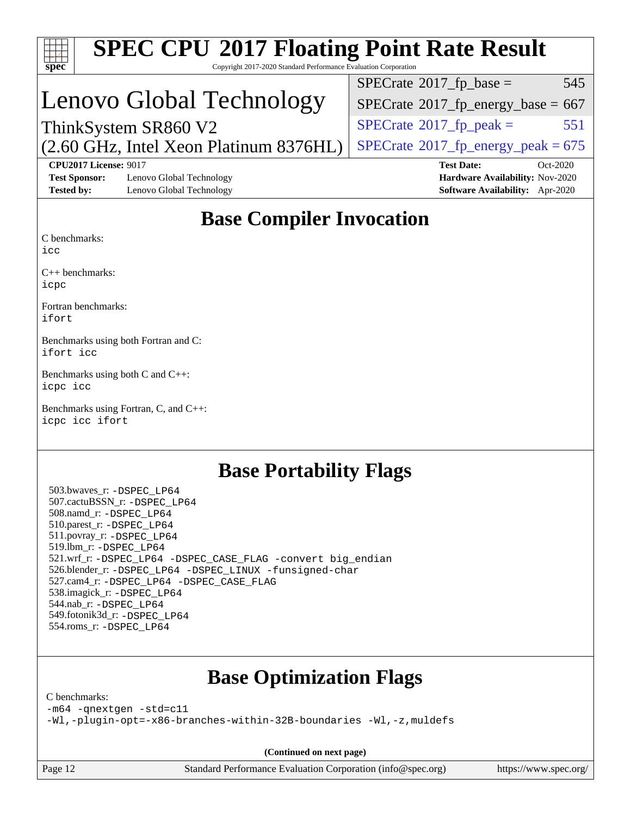| <b>SPEC CPU®2017 Floating Point Rate Result</b><br>Copyright 2017-2020 Standard Performance Evaluation Corporation<br>$spec^*$ |                                                                    |
|--------------------------------------------------------------------------------------------------------------------------------|--------------------------------------------------------------------|
|                                                                                                                                | 545<br>$SPECrate^{\circ}2017$ _fp_base =                           |
| Lenovo Global Technology                                                                                                       | $SPECTate$ <sup>®</sup> 2017_fp_energy_base = 667                  |
| ThinkSystem SR860 V2                                                                                                           | 551<br>$SPECrate^{\circ}2017$ _fp_peak =                           |
| (2.60 GHz, Intel Xeon Platinum 8376HL)                                                                                         | $SPECTate$ <sup>®</sup> 2017_fp_energy_peak = 675                  |
| <b>CPU2017 License: 9017</b>                                                                                                   | <b>Test Date:</b><br>Oct-2020                                      |
| <b>Test Sponsor:</b><br>Lenovo Global Technology<br><b>Tested by:</b><br>Lenovo Global Technology                              | Hardware Availability: Nov-2020<br>Software Availability: Apr-2020 |
| <b>Base Compiler Invocation</b><br>C benchmarks:<br>icc                                                                        |                                                                    |
| $C_{++}$ benchmarks:<br>icpc                                                                                                   |                                                                    |
| Fortran benchmarks:<br>ifort                                                                                                   |                                                                    |
| Benchmarks using both Fortran and C:<br>ifort icc                                                                              |                                                                    |
| Benchmarks using both C and C++:<br>icpc icc                                                                                   |                                                                    |
| Benchmarks using Fortran, C, and C++:<br>icpc icc ifort                                                                        |                                                                    |
| <b>Base Portability Flags</b>                                                                                                  |                                                                    |
| 503.bwaves_r: -DSPEC LP64                                                                                                      |                                                                    |

 544.nab\_r: [-DSPEC\\_LP64](http://www.spec.org/cpu2017/results/res2020q4/cpu2017-20201026-24301.flags.html#suite_basePORTABILITY544_nab_r_DSPEC_LP64) 549.fotonik3d\_r: [-DSPEC\\_LP64](http://www.spec.org/cpu2017/results/res2020q4/cpu2017-20201026-24301.flags.html#suite_basePORTABILITY549_fotonik3d_r_DSPEC_LP64) 554.roms\_r: [-DSPEC\\_LP64](http://www.spec.org/cpu2017/results/res2020q4/cpu2017-20201026-24301.flags.html#suite_basePORTABILITY554_roms_r_DSPEC_LP64)

 521.wrf\_r: [-DSPEC\\_LP64](http://www.spec.org/cpu2017/results/res2020q4/cpu2017-20201026-24301.flags.html#suite_basePORTABILITY521_wrf_r_DSPEC_LP64) [-DSPEC\\_CASE\\_FLAG](http://www.spec.org/cpu2017/results/res2020q4/cpu2017-20201026-24301.flags.html#b521.wrf_r_baseCPORTABILITY_DSPEC_CASE_FLAG) [-convert big\\_endian](http://www.spec.org/cpu2017/results/res2020q4/cpu2017-20201026-24301.flags.html#user_baseFPORTABILITY521_wrf_r_convert_big_endian_c3194028bc08c63ac5d04de18c48ce6d347e4e562e8892b8bdbdc0214820426deb8554edfa529a3fb25a586e65a3d812c835984020483e7e73212c4d31a38223) 526.blender\_r: [-DSPEC\\_LP64](http://www.spec.org/cpu2017/results/res2020q4/cpu2017-20201026-24301.flags.html#suite_basePORTABILITY526_blender_r_DSPEC_LP64) [-DSPEC\\_LINUX](http://www.spec.org/cpu2017/results/res2020q4/cpu2017-20201026-24301.flags.html#b526.blender_r_baseCPORTABILITY_DSPEC_LINUX) [-funsigned-char](http://www.spec.org/cpu2017/results/res2020q4/cpu2017-20201026-24301.flags.html#user_baseCPORTABILITY526_blender_r_force_uchar_40c60f00ab013830e2dd6774aeded3ff59883ba5a1fc5fc14077f794d777847726e2a5858cbc7672e36e1b067e7e5c1d9a74f7176df07886a243d7cc18edfe67)

### **[Base Optimization Flags](http://www.spec.org/auto/cpu2017/Docs/result-fields.html#BaseOptimizationFlags)**

[C benchmarks](http://www.spec.org/auto/cpu2017/Docs/result-fields.html#Cbenchmarks):

 507.cactuBSSN\_r: [-DSPEC\\_LP64](http://www.spec.org/cpu2017/results/res2020q4/cpu2017-20201026-24301.flags.html#suite_basePORTABILITY507_cactuBSSN_r_DSPEC_LP64) 508.namd\_r: [-DSPEC\\_LP64](http://www.spec.org/cpu2017/results/res2020q4/cpu2017-20201026-24301.flags.html#suite_basePORTABILITY508_namd_r_DSPEC_LP64) 510.parest\_r: [-DSPEC\\_LP64](http://www.spec.org/cpu2017/results/res2020q4/cpu2017-20201026-24301.flags.html#suite_basePORTABILITY510_parest_r_DSPEC_LP64) 511.povray\_r: [-DSPEC\\_LP64](http://www.spec.org/cpu2017/results/res2020q4/cpu2017-20201026-24301.flags.html#suite_basePORTABILITY511_povray_r_DSPEC_LP64) 519.lbm\_r: [-DSPEC\\_LP64](http://www.spec.org/cpu2017/results/res2020q4/cpu2017-20201026-24301.flags.html#suite_basePORTABILITY519_lbm_r_DSPEC_LP64)

538.imagick\_r: [-DSPEC\\_LP64](http://www.spec.org/cpu2017/results/res2020q4/cpu2017-20201026-24301.flags.html#suite_basePORTABILITY538_imagick_r_DSPEC_LP64)

527.cam4\_r: [-DSPEC\\_LP64](http://www.spec.org/cpu2017/results/res2020q4/cpu2017-20201026-24301.flags.html#suite_basePORTABILITY527_cam4_r_DSPEC_LP64) [-DSPEC\\_CASE\\_FLAG](http://www.spec.org/cpu2017/results/res2020q4/cpu2017-20201026-24301.flags.html#b527.cam4_r_baseCPORTABILITY_DSPEC_CASE_FLAG)

[-m64](http://www.spec.org/cpu2017/results/res2020q4/cpu2017-20201026-24301.flags.html#user_CCbase_m64-icc) [-qnextgen](http://www.spec.org/cpu2017/results/res2020q4/cpu2017-20201026-24301.flags.html#user_CCbase_f-qnextgen) [-std=c11](http://www.spec.org/cpu2017/results/res2020q4/cpu2017-20201026-24301.flags.html#user_CCbase_std-icc-std_0e1c27790398a4642dfca32ffe6c27b5796f9c2d2676156f2e42c9c44eaad0c049b1cdb667a270c34d979996257aeb8fc440bfb01818dbc9357bd9d174cb8524) [-Wl,-plugin-opt=-x86-branches-within-32B-boundaries](http://www.spec.org/cpu2017/results/res2020q4/cpu2017-20201026-24301.flags.html#user_CCbase_f-x86-branches-within-32B-boundaries_0098b4e4317ae60947b7b728078a624952a08ac37a3c797dfb4ffeb399e0c61a9dd0f2f44ce917e9361fb9076ccb15e7824594512dd315205382d84209e912f3) [-Wl,-z,muldefs](http://www.spec.org/cpu2017/results/res2020q4/cpu2017-20201026-24301.flags.html#user_CCbase_link_force_multiple1_b4cbdb97b34bdee9ceefcfe54f4c8ea74255f0b02a4b23e853cdb0e18eb4525ac79b5a88067c842dd0ee6996c24547a27a4b99331201badda8798ef8a743f577)

**(Continued on next page)**

Page 12 Standard Performance Evaluation Corporation [\(info@spec.org\)](mailto:info@spec.org) <https://www.spec.org/>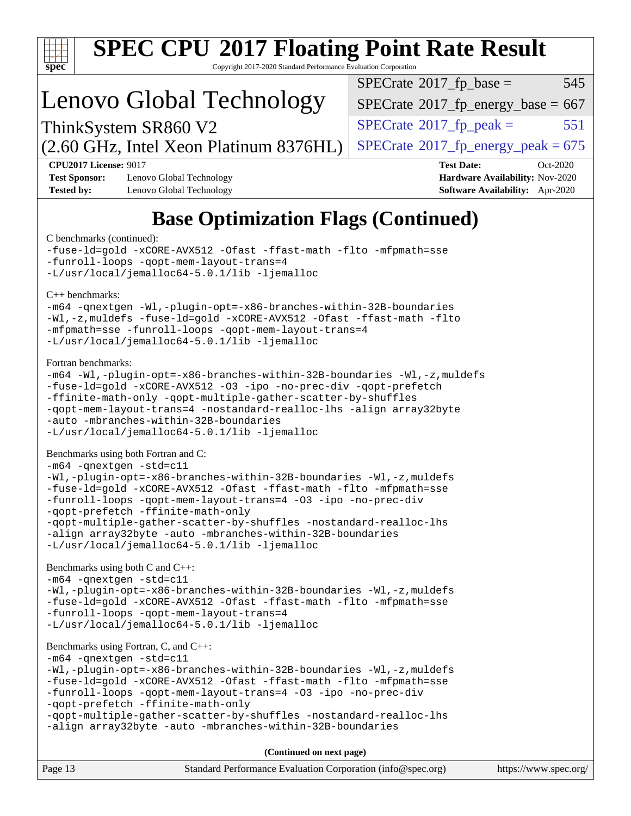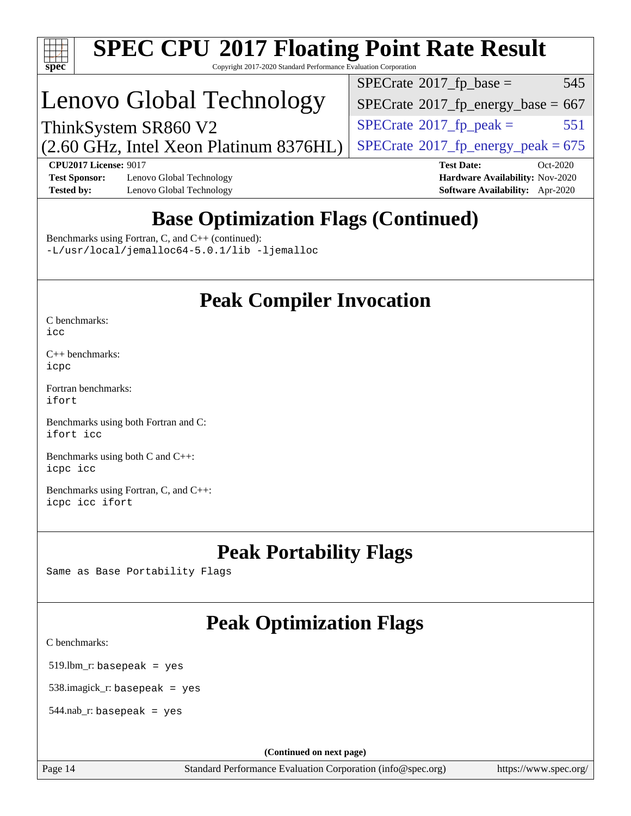

# **[SPEC CPU](http://www.spec.org/auto/cpu2017/Docs/result-fields.html#SPECCPU2017FloatingPointRateResult)[2017 Floating Point Rate Result](http://www.spec.org/auto/cpu2017/Docs/result-fields.html#SPECCPU2017FloatingPointRateResult)**

Copyright 2017-2020 Standard Performance Evaluation Corporation

# Lenovo Global Technology

 $SPECTate^{\circ}2017$ \_fp\_base = 545

 $SPECTate$ <sup>®</sup>[2017\\_fp\\_energy\\_base =](http://www.spec.org/auto/cpu2017/Docs/result-fields.html#SPECrate2017fpenergybase) 667

 $SPECTate$ <sup>®</sup>[2017\\_fp\\_energy\\_peak = 6](http://www.spec.org/auto/cpu2017/Docs/result-fields.html#SPECrate2017fpenergypeak)75

 $SPECTate^{\circ}2017$ \_fp\_peak = 551

(2.60 GHz, Intel Xeon Platinum 8376HL) ThinkSystem SR860 V2

**[CPU2017 License:](http://www.spec.org/auto/cpu2017/Docs/result-fields.html#CPU2017License)** 9017 **[Test Date:](http://www.spec.org/auto/cpu2017/Docs/result-fields.html#TestDate)** Oct-2020 **[Test Sponsor:](http://www.spec.org/auto/cpu2017/Docs/result-fields.html#TestSponsor)** Lenovo Global Technology **[Hardware Availability:](http://www.spec.org/auto/cpu2017/Docs/result-fields.html#HardwareAvailability)** Nov-2020 **[Tested by:](http://www.spec.org/auto/cpu2017/Docs/result-fields.html#Testedby)** Lenovo Global Technology **[Software Availability:](http://www.spec.org/auto/cpu2017/Docs/result-fields.html#SoftwareAvailability)** Apr-2020

## **[Base Optimization Flags \(Continued\)](http://www.spec.org/auto/cpu2017/Docs/result-fields.html#BaseOptimizationFlags)**

[Benchmarks using Fortran, C, and C++](http://www.spec.org/auto/cpu2017/Docs/result-fields.html#BenchmarksusingFortranCandCXX) (continued): [-L/usr/local/jemalloc64-5.0.1/lib](http://www.spec.org/cpu2017/results/res2020q4/cpu2017-20201026-24301.flags.html#user_CC_CXX_FCbase_jemalloc_link_path64_1_cc289568b1a6c0fd3b62c91b824c27fcb5af5e8098e6ad028160d21144ef1b8aef3170d2acf0bee98a8da324cfe4f67d0a3d0c4cc4673d993d694dc2a0df248b) [-ljemalloc](http://www.spec.org/cpu2017/results/res2020q4/cpu2017-20201026-24301.flags.html#user_CC_CXX_FCbase_jemalloc_link_lib_d1249b907c500fa1c0672f44f562e3d0f79738ae9e3c4a9c376d49f265a04b9c99b167ecedbf6711b3085be911c67ff61f150a17b3472be731631ba4d0471706)

## **[Peak Compiler Invocation](http://www.spec.org/auto/cpu2017/Docs/result-fields.html#PeakCompilerInvocation)**

[C benchmarks](http://www.spec.org/auto/cpu2017/Docs/result-fields.html#Cbenchmarks): [icc](http://www.spec.org/cpu2017/results/res2020q4/cpu2017-20201026-24301.flags.html#user_CCpeak_intel_icc_66fc1ee009f7361af1fbd72ca7dcefbb700085f36577c54f309893dd4ec40d12360134090235512931783d35fd58c0460139e722d5067c5574d8eaf2b3e37e92)

[C++ benchmarks:](http://www.spec.org/auto/cpu2017/Docs/result-fields.html#CXXbenchmarks) [icpc](http://www.spec.org/cpu2017/results/res2020q4/cpu2017-20201026-24301.flags.html#user_CXXpeak_intel_icpc_c510b6838c7f56d33e37e94d029a35b4a7bccf4766a728ee175e80a419847e808290a9b78be685c44ab727ea267ec2f070ec5dc83b407c0218cded6866a35d07)

[Fortran benchmarks](http://www.spec.org/auto/cpu2017/Docs/result-fields.html#Fortranbenchmarks): [ifort](http://www.spec.org/cpu2017/results/res2020q4/cpu2017-20201026-24301.flags.html#user_FCpeak_intel_ifort_8111460550e3ca792625aed983ce982f94888b8b503583aa7ba2b8303487b4d8a21a13e7191a45c5fd58ff318f48f9492884d4413fa793fd88dd292cad7027ca)

[Benchmarks using both Fortran and C](http://www.spec.org/auto/cpu2017/Docs/result-fields.html#BenchmarksusingbothFortranandC): [ifort](http://www.spec.org/cpu2017/results/res2020q4/cpu2017-20201026-24301.flags.html#user_CC_FCpeak_intel_ifort_8111460550e3ca792625aed983ce982f94888b8b503583aa7ba2b8303487b4d8a21a13e7191a45c5fd58ff318f48f9492884d4413fa793fd88dd292cad7027ca) [icc](http://www.spec.org/cpu2017/results/res2020q4/cpu2017-20201026-24301.flags.html#user_CC_FCpeak_intel_icc_66fc1ee009f7361af1fbd72ca7dcefbb700085f36577c54f309893dd4ec40d12360134090235512931783d35fd58c0460139e722d5067c5574d8eaf2b3e37e92)

[Benchmarks using both C and C++](http://www.spec.org/auto/cpu2017/Docs/result-fields.html#BenchmarksusingbothCandCXX): [icpc](http://www.spec.org/cpu2017/results/res2020q4/cpu2017-20201026-24301.flags.html#user_CC_CXXpeak_intel_icpc_c510b6838c7f56d33e37e94d029a35b4a7bccf4766a728ee175e80a419847e808290a9b78be685c44ab727ea267ec2f070ec5dc83b407c0218cded6866a35d07) [icc](http://www.spec.org/cpu2017/results/res2020q4/cpu2017-20201026-24301.flags.html#user_CC_CXXpeak_intel_icc_66fc1ee009f7361af1fbd72ca7dcefbb700085f36577c54f309893dd4ec40d12360134090235512931783d35fd58c0460139e722d5067c5574d8eaf2b3e37e92)

[Benchmarks using Fortran, C, and C++:](http://www.spec.org/auto/cpu2017/Docs/result-fields.html#BenchmarksusingFortranCandCXX) [icpc](http://www.spec.org/cpu2017/results/res2020q4/cpu2017-20201026-24301.flags.html#user_CC_CXX_FCpeak_intel_icpc_c510b6838c7f56d33e37e94d029a35b4a7bccf4766a728ee175e80a419847e808290a9b78be685c44ab727ea267ec2f070ec5dc83b407c0218cded6866a35d07) [icc](http://www.spec.org/cpu2017/results/res2020q4/cpu2017-20201026-24301.flags.html#user_CC_CXX_FCpeak_intel_icc_66fc1ee009f7361af1fbd72ca7dcefbb700085f36577c54f309893dd4ec40d12360134090235512931783d35fd58c0460139e722d5067c5574d8eaf2b3e37e92) [ifort](http://www.spec.org/cpu2017/results/res2020q4/cpu2017-20201026-24301.flags.html#user_CC_CXX_FCpeak_intel_ifort_8111460550e3ca792625aed983ce982f94888b8b503583aa7ba2b8303487b4d8a21a13e7191a45c5fd58ff318f48f9492884d4413fa793fd88dd292cad7027ca)

### **[Peak Portability Flags](http://www.spec.org/auto/cpu2017/Docs/result-fields.html#PeakPortabilityFlags)**

Same as Base Portability Flags

## **[Peak Optimization Flags](http://www.spec.org/auto/cpu2017/Docs/result-fields.html#PeakOptimizationFlags)**

[C benchmarks](http://www.spec.org/auto/cpu2017/Docs/result-fields.html#Cbenchmarks):

519.lbm\_r: basepeak = yes

538.imagick\_r: basepeak = yes

 $544$ .nab\_r: basepeak = yes

**(Continued on next page)**

Page 14 Standard Performance Evaluation Corporation [\(info@spec.org\)](mailto:info@spec.org) <https://www.spec.org/>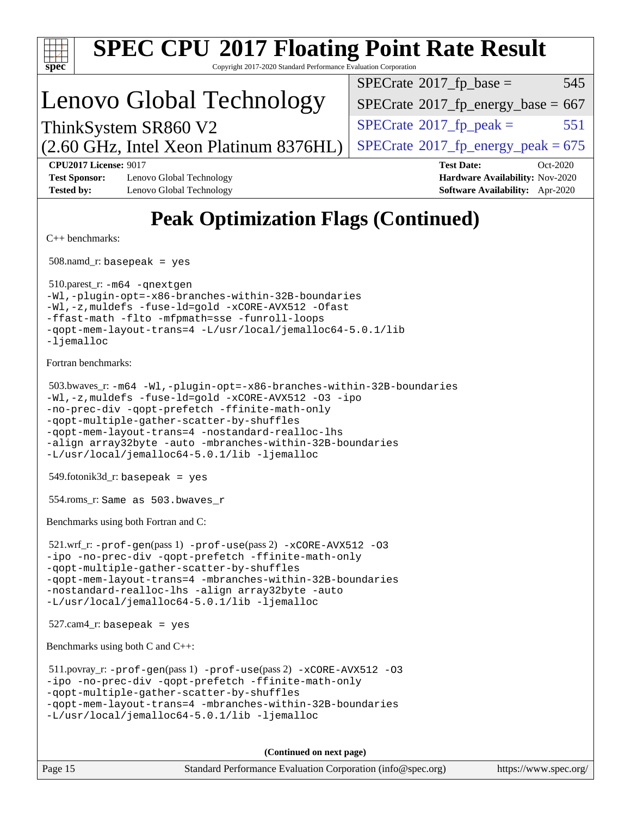| <b>SPEC CPU®2017 Floating Point Rate Result</b><br>Copyright 2017-2020 Standard Performance Evaluation Corporation<br>$\mathbf{Spec}^*$                                                                                                                                                                                                                                                        |                                                                                                            |  |  |  |  |
|------------------------------------------------------------------------------------------------------------------------------------------------------------------------------------------------------------------------------------------------------------------------------------------------------------------------------------------------------------------------------------------------|------------------------------------------------------------------------------------------------------------|--|--|--|--|
|                                                                                                                                                                                                                                                                                                                                                                                                | $SPECTate$ <sup>®</sup> 2017_fp_base =<br>545                                                              |  |  |  |  |
| Lenovo Global Technology                                                                                                                                                                                                                                                                                                                                                                       | $SPECTate^{\circ}2017$ _fp_energy_base = 667                                                               |  |  |  |  |
| ThinkSystem SR860 V2                                                                                                                                                                                                                                                                                                                                                                           | $SPECrate^{\circ}2017$ _fp_peak =<br>551                                                                   |  |  |  |  |
| (2.60 GHz, Intel Xeon Platinum 8376HL)                                                                                                                                                                                                                                                                                                                                                         | $SPECTate^{\circ}2017$ _fp_energy_peak = 675                                                               |  |  |  |  |
| <b>CPU2017 License: 9017</b><br><b>Test Sponsor:</b><br>Lenovo Global Technology<br><b>Tested by:</b><br>Lenovo Global Technology                                                                                                                                                                                                                                                              | <b>Test Date:</b><br>Oct-2020<br><b>Hardware Availability: Nov-2020</b><br>Software Availability: Apr-2020 |  |  |  |  |
| <b>Peak Optimization Flags (Continued)</b>                                                                                                                                                                                                                                                                                                                                                     |                                                                                                            |  |  |  |  |
| $C++$ benchmarks:                                                                                                                                                                                                                                                                                                                                                                              |                                                                                                            |  |  |  |  |
| $508$ .namd_r: basepeak = yes                                                                                                                                                                                                                                                                                                                                                                  |                                                                                                            |  |  |  |  |
| 510.parest_r: -m64 -qnextgen<br>-Wl,-plugin-opt=-x86-branches-within-32B-boundaries<br>-Wl,-z, muldefs -fuse-ld=gold -xCORE-AVX512 -Ofast<br>-ffast-math -flto -mfpmath=sse -funroll-loops<br>-qopt-mem-layout-trans=4 -L/usr/local/jemalloc64-5.0.1/lib<br>$-l$ jemalloc                                                                                                                      |                                                                                                            |  |  |  |  |
| Fortran benchmarks:                                                                                                                                                                                                                                                                                                                                                                            |                                                                                                            |  |  |  |  |
| 503.bwaves_r: -m64 -Wl,-plugin-opt=-x86-branches-within-32B-boundaries<br>-Wl,-z, muldefs -fuse-ld=gold -xCORE-AVX512 -03 -ipo<br>-no-prec-div -qopt-prefetch -ffinite-math-only<br>-qopt-multiple-gather-scatter-by-shuffles<br>-qopt-mem-layout-trans=4 -nostandard-realloc-lhs<br>-align array32byte -auto -mbranches-within-32B-boundaries<br>-L/usr/local/jemalloc64-5.0.1/lib -ljemalloc |                                                                                                            |  |  |  |  |
| $549$ .fotonik $3d$ _r: basepeak = yes                                                                                                                                                                                                                                                                                                                                                         |                                                                                                            |  |  |  |  |
| 554.roms_r: Same as 503.bwaves_r                                                                                                                                                                                                                                                                                                                                                               |                                                                                                            |  |  |  |  |
| Benchmarks using both Fortran and C:                                                                                                                                                                                                                                                                                                                                                           |                                                                                                            |  |  |  |  |
| $521.wrf_r$ : $-$ prof $-$ gen(pass 1) $-$ prof $-$ use(pass 2) $-x$ CORE $-$ AVX512 -03<br>-ipo -no-prec-div -qopt-prefetch -ffinite-math-only<br>-gopt-multiple-gather-scatter-by-shuffles<br>-qopt-mem-layout-trans=4 -mbranches-within-32B-boundaries<br>-nostandard-realloc-lhs -align array32byte -auto<br>-L/usr/local/jemalloc64-5.0.1/lib -ljemalloc                                  |                                                                                                            |  |  |  |  |
| $527.cam4_r$ : basepeak = yes                                                                                                                                                                                                                                                                                                                                                                  |                                                                                                            |  |  |  |  |
| Benchmarks using both C and C++:                                                                                                                                                                                                                                                                                                                                                               |                                                                                                            |  |  |  |  |
| $511.$ povray_r: -prof-gen(pass 1) -prof-use(pass 2) -xCORE-AVX512 -03<br>-ipo -no-prec-div -qopt-prefetch -ffinite-math-only<br>-qopt-multiple-gather-scatter-by-shuffles<br>-qopt-mem-layout-trans=4 -mbranches-within-32B-boundaries<br>-L/usr/local/jemalloc64-5.0.1/lib -ljemalloc                                                                                                        |                                                                                                            |  |  |  |  |
| (Continued on next page)                                                                                                                                                                                                                                                                                                                                                                       |                                                                                                            |  |  |  |  |